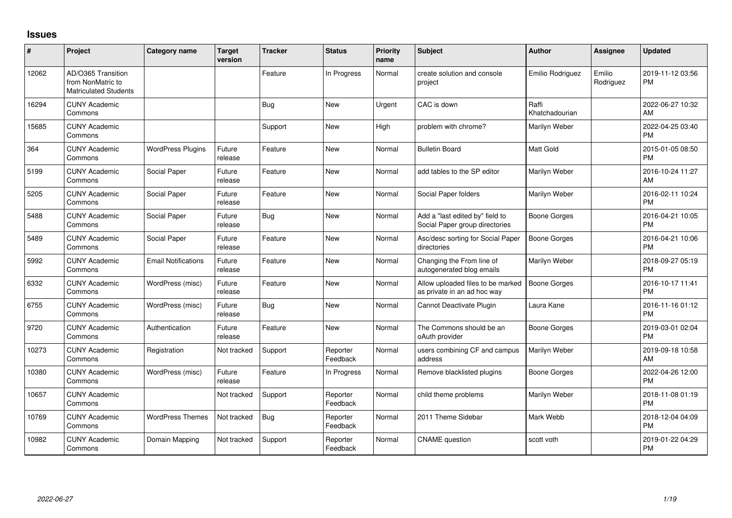## **Issues**

| ∦     | Project                                                                 | <b>Category name</b>       | <b>Target</b><br>version | <b>Tracker</b> | <b>Status</b>        | Priority<br>name | <b>Subject</b>                                                    | Author                  | <b>Assignee</b>     | <b>Updated</b>                |
|-------|-------------------------------------------------------------------------|----------------------------|--------------------------|----------------|----------------------|------------------|-------------------------------------------------------------------|-------------------------|---------------------|-------------------------------|
| 12062 | AD/O365 Transition<br>from NonMatric to<br><b>Matriculated Students</b> |                            |                          | Feature        | In Progress          | Normal           | create solution and console<br>project                            | Emilio Rodriguez        | Emilio<br>Rodriguez | 2019-11-12 03:56<br>PM        |
| 16294 | <b>CUNY Academic</b><br>Commons                                         |                            |                          | <b>Bug</b>     | <b>New</b>           | Urgent           | CAC is down                                                       | Raffi<br>Khatchadourian |                     | 2022-06-27 10:32<br>AM        |
| 15685 | <b>CUNY Academic</b><br>Commons                                         |                            |                          | Support        | <b>New</b>           | High             | problem with chrome?                                              | Marilyn Weber           |                     | 2022-04-25 03:40<br><b>PM</b> |
| 364   | <b>CUNY Academic</b><br>Commons                                         | <b>WordPress Plugins</b>   | Future<br>release        | Feature        | <b>New</b>           | Normal           | <b>Bulletin Board</b>                                             | Matt Gold               |                     | 2015-01-05 08:50<br><b>PM</b> |
| 5199  | <b>CUNY Academic</b><br>Commons                                         | Social Paper               | Future<br>release        | Feature        | <b>New</b>           | Normal           | add tables to the SP editor                                       | Marilyn Weber           |                     | 2016-10-24 11:27<br>AM        |
| 5205  | <b>CUNY Academic</b><br>Commons                                         | Social Paper               | Future<br>release        | Feature        | <b>New</b>           | Normal           | Social Paper folders                                              | Marilyn Weber           |                     | 2016-02-11 10:24<br><b>PM</b> |
| 5488  | <b>CUNY Academic</b><br>Commons                                         | Social Paper               | Future<br>release        | Bug            | <b>New</b>           | Normal           | Add a "last edited by" field to<br>Social Paper group directories | <b>Boone Gorges</b>     |                     | 2016-04-21 10:05<br><b>PM</b> |
| 5489  | <b>CUNY Academic</b><br>Commons                                         | Social Paper               | Future<br>release        | Feature        | New                  | Normal           | Asc/desc sorting for Social Paper<br>directories                  | <b>Boone Gorges</b>     |                     | 2016-04-21 10:06<br><b>PM</b> |
| 5992  | <b>CUNY Academic</b><br>Commons                                         | <b>Email Notifications</b> | Future<br>release        | Feature        | <b>New</b>           | Normal           | Changing the From line of<br>autogenerated blog emails            | Marilyn Weber           |                     | 2018-09-27 05:19<br><b>PM</b> |
| 6332  | <b>CUNY Academic</b><br>Commons                                         | WordPress (misc)           | Future<br>release        | Feature        | <b>New</b>           | Normal           | Allow uploaded files to be marked<br>as private in an ad hoc way  | <b>Boone Gorges</b>     |                     | 2016-10-17 11:41<br><b>PM</b> |
| 6755  | <b>CUNY Academic</b><br>Commons                                         | WordPress (misc)           | Future<br>release        | <b>Bug</b>     | <b>New</b>           | Normal           | Cannot Deactivate Plugin                                          | Laura Kane              |                     | 2016-11-16 01:12<br><b>PM</b> |
| 9720  | <b>CUNY Academic</b><br>Commons                                         | Authentication             | Future<br>release        | Feature        | New                  | Normal           | The Commons should be an<br>oAuth provider                        | <b>Boone Gorges</b>     |                     | 2019-03-01 02:04<br><b>PM</b> |
| 10273 | <b>CUNY Academic</b><br>Commons                                         | Registration               | Not tracked              | Support        | Reporter<br>Feedback | Normal           | users combining CF and campus<br>address                          | Marilyn Weber           |                     | 2019-09-18 10:58<br>AM        |
| 10380 | <b>CUNY Academic</b><br>Commons                                         | WordPress (misc)           | Future<br>release        | Feature        | In Progress          | Normal           | Remove blacklisted plugins                                        | <b>Boone Gorges</b>     |                     | 2022-04-26 12:00<br><b>PM</b> |
| 10657 | <b>CUNY Academic</b><br>Commons                                         |                            | Not tracked              | Support        | Reporter<br>Feedback | Normal           | child theme problems                                              | Marilyn Weber           |                     | 2018-11-08 01:19<br><b>PM</b> |
| 10769 | <b>CUNY Academic</b><br>Commons                                         | <b>WordPress Themes</b>    | Not tracked              | <b>Bug</b>     | Reporter<br>Feedback | Normal           | 2011 Theme Sidebar                                                | Mark Webb               |                     | 2018-12-04 04:09<br><b>PM</b> |
| 10982 | <b>CUNY Academic</b><br>Commons                                         | Domain Mapping             | Not tracked              | Support        | Reporter<br>Feedback | Normal           | <b>CNAME</b> question                                             | scott voth              |                     | 2019-01-22 04:29<br><b>PM</b> |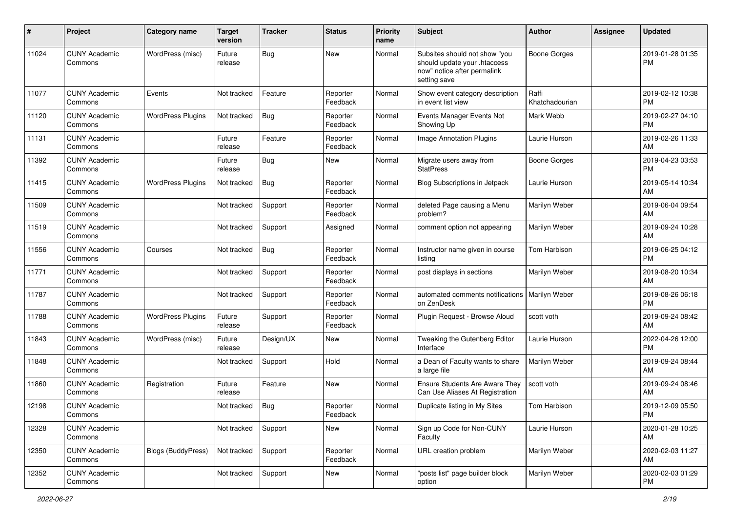| #     | Project                         | <b>Category name</b>      | <b>Target</b><br>version | <b>Tracker</b> | <b>Status</b>        | <b>Priority</b><br>name | <b>Subject</b>                                                                                               | Author                  | Assignee | <b>Updated</b>                |
|-------|---------------------------------|---------------------------|--------------------------|----------------|----------------------|-------------------------|--------------------------------------------------------------------------------------------------------------|-------------------------|----------|-------------------------------|
| 11024 | <b>CUNY Academic</b><br>Commons | WordPress (misc)          | Future<br>release        | Bug            | New                  | Normal                  | Subsites should not show "you<br>should update your .htaccess<br>now" notice after permalink<br>setting save | <b>Boone Gorges</b>     |          | 2019-01-28 01:35<br><b>PM</b> |
| 11077 | <b>CUNY Academic</b><br>Commons | Events                    | Not tracked              | Feature        | Reporter<br>Feedback | Normal                  | Show event category description<br>in event list view                                                        | Raffi<br>Khatchadourian |          | 2019-02-12 10:38<br><b>PM</b> |
| 11120 | <b>CUNY Academic</b><br>Commons | <b>WordPress Plugins</b>  | Not tracked              | <b>Bug</b>     | Reporter<br>Feedback | Normal                  | Events Manager Events Not<br>Showing Up                                                                      | Mark Webb               |          | 2019-02-27 04:10<br>PM        |
| 11131 | <b>CUNY Academic</b><br>Commons |                           | Future<br>release        | Feature        | Reporter<br>Feedback | Normal                  | Image Annotation Plugins                                                                                     | Laurie Hurson           |          | 2019-02-26 11:33<br>AM        |
| 11392 | <b>CUNY Academic</b><br>Commons |                           | Future<br>release        | <b>Bug</b>     | New                  | Normal                  | Migrate users away from<br><b>StatPress</b>                                                                  | <b>Boone Gorges</b>     |          | 2019-04-23 03:53<br>PM        |
| 11415 | <b>CUNY Academic</b><br>Commons | <b>WordPress Plugins</b>  | Not tracked              | <b>Bug</b>     | Reporter<br>Feedback | Normal                  | Blog Subscriptions in Jetpack                                                                                | Laurie Hurson           |          | 2019-05-14 10:34<br>AM        |
| 11509 | <b>CUNY Academic</b><br>Commons |                           | Not tracked              | Support        | Reporter<br>Feedback | Normal                  | deleted Page causing a Menu<br>problem?                                                                      | Marilyn Weber           |          | 2019-06-04 09:54<br>AM        |
| 11519 | <b>CUNY Academic</b><br>Commons |                           | Not tracked              | Support        | Assigned             | Normal                  | comment option not appearing                                                                                 | Marilyn Weber           |          | 2019-09-24 10:28<br>AM        |
| 11556 | <b>CUNY Academic</b><br>Commons | Courses                   | Not tracked              | <b>Bug</b>     | Reporter<br>Feedback | Normal                  | Instructor name given in course<br>listing                                                                   | <b>Tom Harbison</b>     |          | 2019-06-25 04:12<br>PM        |
| 11771 | <b>CUNY Academic</b><br>Commons |                           | Not tracked              | Support        | Reporter<br>Feedback | Normal                  | post displays in sections                                                                                    | Marilyn Weber           |          | 2019-08-20 10:34<br>AM        |
| 11787 | <b>CUNY Academic</b><br>Commons |                           | Not tracked              | Support        | Reporter<br>Feedback | Normal                  | automated comments notifications<br>on ZenDesk                                                               | Marilyn Weber           |          | 2019-08-26 06:18<br><b>PM</b> |
| 11788 | <b>CUNY Academic</b><br>Commons | <b>WordPress Plugins</b>  | Future<br>release        | Support        | Reporter<br>Feedback | Normal                  | Plugin Request - Browse Aloud                                                                                | scott voth              |          | 2019-09-24 08:42<br>AM        |
| 11843 | <b>CUNY Academic</b><br>Commons | WordPress (misc)          | Future<br>release        | Design/UX      | New                  | Normal                  | Tweaking the Gutenberg Editor<br>Interface                                                                   | Laurie Hurson           |          | 2022-04-26 12:00<br><b>PM</b> |
| 11848 | <b>CUNY Academic</b><br>Commons |                           | Not tracked              | Support        | Hold                 | Normal                  | a Dean of Faculty wants to share<br>a large file                                                             | Marilyn Weber           |          | 2019-09-24 08:44<br>AM        |
| 11860 | <b>CUNY Academic</b><br>Commons | Registration              | Future<br>release        | Feature        | New                  | Normal                  | <b>Ensure Students Are Aware They</b><br>Can Use Aliases At Registration                                     | scott voth              |          | 2019-09-24 08:46<br>AM        |
| 12198 | <b>CUNY Academic</b><br>Commons |                           | Not tracked              | Bug            | Reporter<br>Feedback | Normal                  | Duplicate listing in My Sites                                                                                | Tom Harbison            |          | 2019-12-09 05:50<br>PM        |
| 12328 | <b>CUNY Academic</b><br>Commons |                           | Not tracked              | Support        | New                  | Normal                  | Sign up Code for Non-CUNY<br>Faculty                                                                         | Laurie Hurson           |          | 2020-01-28 10:25<br>AM        |
| 12350 | <b>CUNY Academic</b><br>Commons | <b>Blogs (BuddyPress)</b> | Not tracked              | Support        | Reporter<br>Feedback | Normal                  | URL creation problem                                                                                         | Marilyn Weber           |          | 2020-02-03 11:27<br>AM        |
| 12352 | <b>CUNY Academic</b><br>Commons |                           | Not tracked              | Support        | New                  | Normal                  | "posts list" page builder block<br>option                                                                    | Marilyn Weber           |          | 2020-02-03 01:29<br>PM        |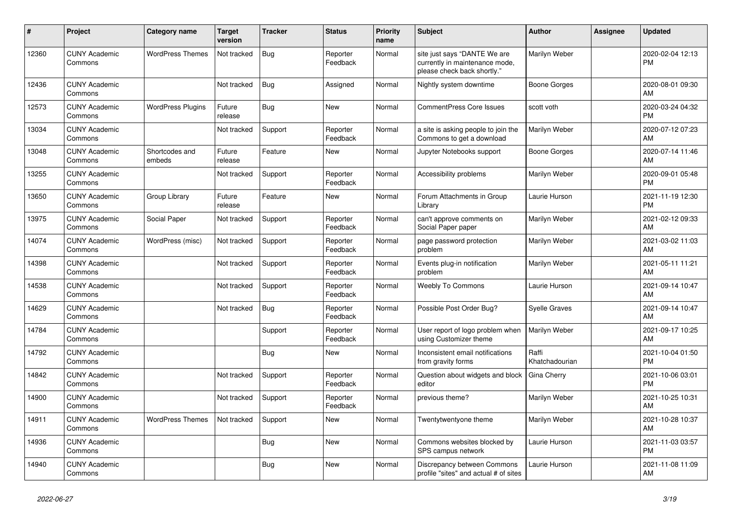| #     | Project                         | Category name            | <b>Target</b><br>version | Tracker    | <b>Status</b>        | <b>Priority</b><br>name | <b>Subject</b>                                                                                | <b>Author</b>           | <b>Assignee</b> | <b>Updated</b>                |
|-------|---------------------------------|--------------------------|--------------------------|------------|----------------------|-------------------------|-----------------------------------------------------------------------------------------------|-------------------------|-----------------|-------------------------------|
| 12360 | <b>CUNY Academic</b><br>Commons | <b>WordPress Themes</b>  | Not tracked              | <b>Bug</b> | Reporter<br>Feedback | Normal                  | site just says "DANTE We are<br>currently in maintenance mode,<br>please check back shortly." | Marilyn Weber           |                 | 2020-02-04 12:13<br><b>PM</b> |
| 12436 | <b>CUNY Academic</b><br>Commons |                          | Not tracked              | Bug        | Assigned             | Normal                  | Nightly system downtime                                                                       | <b>Boone Gorges</b>     |                 | 2020-08-01 09:30<br>AM        |
| 12573 | <b>CUNY Academic</b><br>Commons | <b>WordPress Plugins</b> | Future<br>release        | Bug        | New                  | Normal                  | <b>CommentPress Core Issues</b>                                                               | scott voth              |                 | 2020-03-24 04:32<br><b>PM</b> |
| 13034 | <b>CUNY Academic</b><br>Commons |                          | Not tracked              | Support    | Reporter<br>Feedback | Normal                  | a site is asking people to join the<br>Commons to get a download                              | Marilyn Weber           |                 | 2020-07-12 07:23<br>AM        |
| 13048 | <b>CUNY Academic</b><br>Commons | Shortcodes and<br>embeds | Future<br>release        | Feature    | <b>New</b>           | Normal                  | Jupyter Notebooks support                                                                     | <b>Boone Gorges</b>     |                 | 2020-07-14 11:46<br>AM        |
| 13255 | <b>CUNY Academic</b><br>Commons |                          | Not tracked              | Support    | Reporter<br>Feedback | Normal                  | Accessibility problems                                                                        | Marilyn Weber           |                 | 2020-09-01 05:48<br><b>PM</b> |
| 13650 | <b>CUNY Academic</b><br>Commons | Group Library            | Future<br>release        | Feature    | <b>New</b>           | Normal                  | Forum Attachments in Group<br>Library                                                         | Laurie Hurson           |                 | 2021-11-19 12:30<br><b>PM</b> |
| 13975 | <b>CUNY Academic</b><br>Commons | Social Paper             | Not tracked              | Support    | Reporter<br>Feedback | Normal                  | can't approve comments on<br>Social Paper paper                                               | Marilyn Weber           |                 | 2021-02-12 09:33<br>AM        |
| 14074 | <b>CUNY Academic</b><br>Commons | WordPress (misc)         | Not tracked              | Support    | Reporter<br>Feedback | Normal                  | page password protection<br>problem                                                           | Marilyn Weber           |                 | 2021-03-02 11:03<br>AM        |
| 14398 | <b>CUNY Academic</b><br>Commons |                          | Not tracked              | Support    | Reporter<br>Feedback | Normal                  | Events plug-in notification<br>problem                                                        | Marilyn Weber           |                 | 2021-05-11 11:21<br>AM        |
| 14538 | <b>CUNY Academic</b><br>Commons |                          | Not tracked              | Support    | Reporter<br>Feedback | Normal                  | <b>Weebly To Commons</b>                                                                      | Laurie Hurson           |                 | 2021-09-14 10:47<br>AM        |
| 14629 | <b>CUNY Academic</b><br>Commons |                          | Not tracked              | Bug        | Reporter<br>Feedback | Normal                  | Possible Post Order Bug?                                                                      | <b>Syelle Graves</b>    |                 | 2021-09-14 10:47<br>AM        |
| 14784 | <b>CUNY Academic</b><br>Commons |                          |                          | Support    | Reporter<br>Feedback | Normal                  | User report of logo problem when<br>using Customizer theme                                    | Marilyn Weber           |                 | 2021-09-17 10:25<br>AM        |
| 14792 | <b>CUNY Academic</b><br>Commons |                          |                          | <b>Bug</b> | <b>New</b>           | Normal                  | Inconsistent email notifications<br>from gravity forms                                        | Raffi<br>Khatchadourian |                 | 2021-10-04 01:50<br><b>PM</b> |
| 14842 | <b>CUNY Academic</b><br>Commons |                          | Not tracked              | Support    | Reporter<br>Feedback | Normal                  | Question about widgets and block<br>editor                                                    | Gina Cherry             |                 | 2021-10-06 03:01<br><b>PM</b> |
| 14900 | <b>CUNY Academic</b><br>Commons |                          | Not tracked              | Support    | Reporter<br>Feedback | Normal                  | previous theme?                                                                               | Marilyn Weber           |                 | 2021-10-25 10:31<br>AM        |
| 14911 | <b>CUNY Academic</b><br>Commons | <b>WordPress Themes</b>  | Not tracked              | Support    | <b>New</b>           | Normal                  | Twentytwentyone theme                                                                         | Marilyn Weber           |                 | 2021-10-28 10:37<br>AM        |
| 14936 | <b>CUNY Academic</b><br>Commons |                          |                          | <b>Bug</b> | <b>New</b>           | Normal                  | Commons websites blocked by<br>SPS campus network                                             | Laurie Hurson           |                 | 2021-11-03 03:57<br><b>PM</b> |
| 14940 | <b>CUNY Academic</b><br>Commons |                          |                          | Bug        | <b>New</b>           | Normal                  | Discrepancy between Commons<br>profile "sites" and actual # of sites                          | Laurie Hurson           |                 | 2021-11-08 11:09<br>AM        |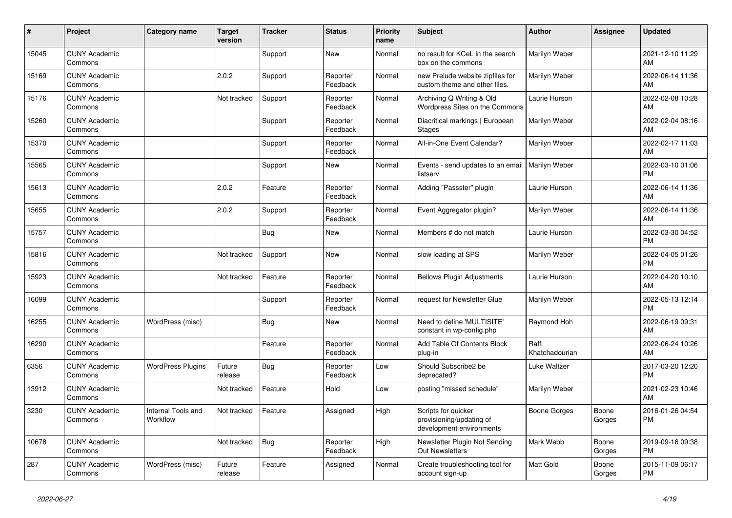| #     | Project                         | <b>Category name</b>           | <b>Target</b><br>version | <b>Tracker</b> | <b>Status</b>        | <b>Priority</b><br>name | <b>Subject</b>                                                              | <b>Author</b>           | Assignee        | <b>Updated</b>                |
|-------|---------------------------------|--------------------------------|--------------------------|----------------|----------------------|-------------------------|-----------------------------------------------------------------------------|-------------------------|-----------------|-------------------------------|
| 15045 | <b>CUNY Academic</b><br>Commons |                                |                          | Support        | <b>New</b>           | Normal                  | no result for KCeL in the search<br>box on the commons                      | Marilyn Weber           |                 | 2021-12-10 11:29<br>AM        |
| 15169 | <b>CUNY Academic</b><br>Commons |                                | 2.0.2                    | Support        | Reporter<br>Feedback | Normal                  | new Prelude website zipfiles for<br>custom theme and other files.           | Marilyn Weber           |                 | 2022-06-14 11:36<br>AM        |
| 15176 | <b>CUNY Academic</b><br>Commons |                                | Not tracked              | Support        | Reporter<br>Feedback | Normal                  | Archiving Q Writing & Old<br>Wordpress Sites on the Commons                 | Laurie Hurson           |                 | 2022-02-08 10:28<br>AM        |
| 15260 | <b>CUNY Academic</b><br>Commons |                                |                          | Support        | Reporter<br>Feedback | Normal                  | Diacritical markings   European<br><b>Stages</b>                            | Marilyn Weber           |                 | 2022-02-04 08:16<br>AM        |
| 15370 | <b>CUNY Academic</b><br>Commons |                                |                          | Support        | Reporter<br>Feedback | Normal                  | All-in-One Event Calendar?                                                  | Marilyn Weber           |                 | 2022-02-17 11:03<br>AM        |
| 15565 | <b>CUNY Academic</b><br>Commons |                                |                          | Support        | New                  | Normal                  | Events - send updates to an email   Marilyn Weber<br>listserv               |                         |                 | 2022-03-10 01:06<br><b>PM</b> |
| 15613 | <b>CUNY Academic</b><br>Commons |                                | 2.0.2                    | Feature        | Reporter<br>Feedback | Normal                  | Adding "Passster" plugin                                                    | Laurie Hurson           |                 | 2022-06-14 11:36<br>AM        |
| 15655 | <b>CUNY Academic</b><br>Commons |                                | 2.0.2                    | Support        | Reporter<br>Feedback | Normal                  | Event Aggregator plugin?                                                    | Marilyn Weber           |                 | 2022-06-14 11:36<br>AM        |
| 15757 | <b>CUNY Academic</b><br>Commons |                                |                          | Bug            | New                  | Normal                  | Members # do not match                                                      | Laurie Hurson           |                 | 2022-03-30 04:52<br><b>PM</b> |
| 15816 | <b>CUNY Academic</b><br>Commons |                                | Not tracked              | Support        | <b>New</b>           | Normal                  | slow loading at SPS                                                         | Marilyn Weber           |                 | 2022-04-05 01:26<br>PM        |
| 15923 | <b>CUNY Academic</b><br>Commons |                                | Not tracked              | Feature        | Reporter<br>Feedback | Normal                  | <b>Bellows Plugin Adjustments</b>                                           | Laurie Hurson           |                 | 2022-04-20 10:10<br>AM        |
| 16099 | <b>CUNY Academic</b><br>Commons |                                |                          | Support        | Reporter<br>Feedback | Normal                  | request for Newsletter Glue                                                 | Marilyn Weber           |                 | 2022-05-13 12:14<br><b>PM</b> |
| 16255 | <b>CUNY Academic</b><br>Commons | WordPress (misc)               |                          | <b>Bug</b>     | <b>New</b>           | Normal                  | Need to define 'MULTISITE'<br>constant in wp-config.php                     | Raymond Hoh             |                 | 2022-06-19 09:31<br>AM        |
| 16290 | <b>CUNY Academic</b><br>Commons |                                |                          | Feature        | Reporter<br>Feedback | Normal                  | Add Table Of Contents Block<br>plug-in                                      | Raffi<br>Khatchadourian |                 | 2022-06-24 10:26<br>AM        |
| 6356  | <b>CUNY Academic</b><br>Commons | <b>WordPress Plugins</b>       | Future<br>release        | <b>Bug</b>     | Reporter<br>Feedback | Low                     | Should Subscribe2 be<br>deprecated?                                         | Luke Waltzer            |                 | 2017-03-20 12:20<br><b>PM</b> |
| 13912 | <b>CUNY Academic</b><br>Commons |                                | Not tracked              | Feature        | Hold                 | Low                     | posting "missed schedule"                                                   | Marilyn Weber           |                 | 2021-02-23 10:46<br>AM        |
| 3230  | <b>CUNY Academic</b><br>Commons | Internal Tools and<br>Workflow | Not tracked              | Feature        | Assigned             | High                    | Scripts for quicker<br>provisioning/updating of<br>development environments | Boone Gorges            | Boone<br>Gorges | 2016-01-26 04:54<br><b>PM</b> |
| 10678 | <b>CUNY Academic</b><br>Commons |                                | Not tracked              | <b>Bug</b>     | Reporter<br>Feedback | High                    | Newsletter Plugin Not Sending<br><b>Out Newsletters</b>                     | Mark Webb               | Boone<br>Gorges | 2019-09-16 09:38<br><b>PM</b> |
| 287   | <b>CUNY Academic</b><br>Commons | WordPress (misc)               | Future<br>release        | Feature        | Assigned             | Normal                  | Create troubleshooting tool for<br>account sign-up                          | <b>Matt Gold</b>        | Boone<br>Gorges | 2015-11-09 06:17<br><b>PM</b> |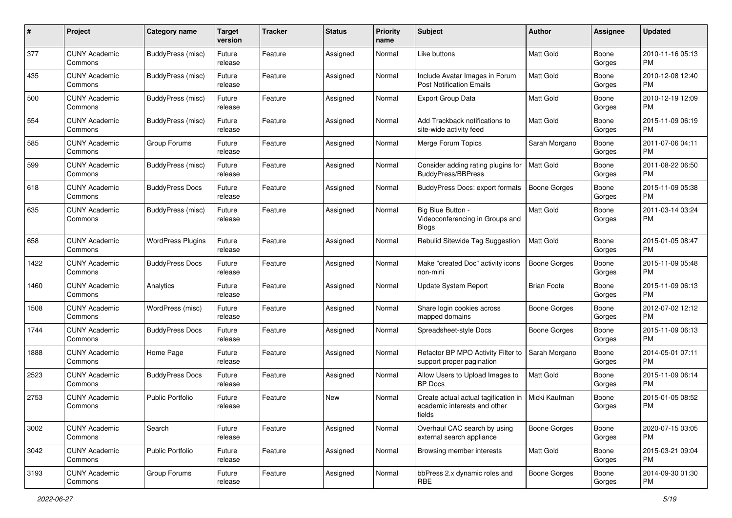| #    | Project                         | <b>Category name</b>     | <b>Target</b><br>version | <b>Tracker</b> | <b>Status</b> | <b>Priority</b><br>name | Subject                                                                        | Author              | <b>Assignee</b> | <b>Updated</b>                |
|------|---------------------------------|--------------------------|--------------------------|----------------|---------------|-------------------------|--------------------------------------------------------------------------------|---------------------|-----------------|-------------------------------|
| 377  | <b>CUNY Academic</b><br>Commons | BuddyPress (misc)        | Future<br>release        | Feature        | Assigned      | Normal                  | Like buttons                                                                   | <b>Matt Gold</b>    | Boone<br>Gorges | 2010-11-16 05:13<br>PM        |
| 435  | <b>CUNY Academic</b><br>Commons | BuddyPress (misc)        | Future<br>release        | Feature        | Assigned      | Normal                  | Include Avatar Images in Forum<br><b>Post Notification Emails</b>              | Matt Gold           | Boone<br>Gorges | 2010-12-08 12:40<br><b>PM</b> |
| 500  | <b>CUNY Academic</b><br>Commons | BuddyPress (misc)        | Future<br>release        | Feature        | Assigned      | Normal                  | <b>Export Group Data</b>                                                       | Matt Gold           | Boone<br>Gorges | 2010-12-19 12:09<br><b>PM</b> |
| 554  | <b>CUNY Academic</b><br>Commons | BuddyPress (misc)        | Future<br>release        | Feature        | Assigned      | Normal                  | Add Trackback notifications to<br>site-wide activity feed                      | <b>Matt Gold</b>    | Boone<br>Gorges | 2015-11-09 06:19<br>PM        |
| 585  | <b>CUNY Academic</b><br>Commons | Group Forums             | Future<br>release        | Feature        | Assigned      | Normal                  | Merge Forum Topics                                                             | Sarah Morgano       | Boone<br>Gorges | 2011-07-06 04:11<br><b>PM</b> |
| 599  | <b>CUNY Academic</b><br>Commons | BuddyPress (misc)        | Future<br>release        | Feature        | Assigned      | Normal                  | Consider adding rating plugins for<br><b>BuddyPress/BBPress</b>                | <b>Matt Gold</b>    | Boone<br>Gorges | 2011-08-22 06:50<br>PM        |
| 618  | <b>CUNY Academic</b><br>Commons | <b>BuddyPress Docs</b>   | Future<br>release        | Feature        | Assigned      | Normal                  | <b>BuddyPress Docs: export formats</b>                                         | Boone Gorges        | Boone<br>Gorges | 2015-11-09 05:38<br>PM        |
| 635  | <b>CUNY Academic</b><br>Commons | BuddyPress (misc)        | Future<br>release        | Feature        | Assigned      | Normal                  | Big Blue Button -<br>Videoconferencing in Groups and<br><b>Blogs</b>           | <b>Matt Gold</b>    | Boone<br>Gorges | 2011-03-14 03:24<br>PM        |
| 658  | <b>CUNY Academic</b><br>Commons | <b>WordPress Plugins</b> | Future<br>release        | Feature        | Assigned      | Normal                  | Rebulid Sitewide Tag Suggestion                                                | Matt Gold           | Boone<br>Gorges | 2015-01-05 08:47<br>PM.       |
| 1422 | <b>CUNY Academic</b><br>Commons | <b>BuddyPress Docs</b>   | Future<br>release        | Feature        | Assigned      | Normal                  | Make "created Doc" activity icons<br>non-mini                                  | <b>Boone Gorges</b> | Boone<br>Gorges | 2015-11-09 05:48<br><b>PM</b> |
| 1460 | <b>CUNY Academic</b><br>Commons | Analytics                | Future<br>release        | Feature        | Assigned      | Normal                  | Update System Report                                                           | <b>Brian Foote</b>  | Boone<br>Gorges | 2015-11-09 06:13<br><b>PM</b> |
| 1508 | <b>CUNY Academic</b><br>Commons | WordPress (misc)         | Future<br>release        | Feature        | Assigned      | Normal                  | Share login cookies across<br>mapped domains                                   | Boone Gorges        | Boone<br>Gorges | 2012-07-02 12:12<br><b>PM</b> |
| 1744 | <b>CUNY Academic</b><br>Commons | <b>BuddyPress Docs</b>   | Future<br>release        | Feature        | Assigned      | Normal                  | Spreadsheet-style Docs                                                         | <b>Boone Gorges</b> | Boone<br>Gorges | 2015-11-09 06:13<br><b>PM</b> |
| 1888 | <b>CUNY Academic</b><br>Commons | Home Page                | Future<br>release        | Feature        | Assigned      | Normal                  | Refactor BP MPO Activity Filter to<br>support proper pagination                | Sarah Morgano       | Boone<br>Gorges | 2014-05-01 07:11<br><b>PM</b> |
| 2523 | <b>CUNY Academic</b><br>Commons | <b>BuddyPress Docs</b>   | Future<br>release        | Feature        | Assigned      | Normal                  | Allow Users to Upload Images to<br><b>BP</b> Docs                              | Matt Gold           | Boone<br>Gorges | 2015-11-09 06:14<br><b>PM</b> |
| 2753 | <b>CUNY Academic</b><br>Commons | <b>Public Portfolio</b>  | Future<br>release        | Feature        | New           | Normal                  | Create actual actual tagification in<br>academic interests and other<br>fields | Micki Kaufman       | Boone<br>Gorges | 2015-01-05 08:52<br>PM        |
| 3002 | <b>CUNY Academic</b><br>Commons | Search                   | Future<br>release        | Feature        | Assigned      | Normal                  | Overhaul CAC search by using<br>external search appliance                      | <b>Boone Gorges</b> | Boone<br>Gorges | 2020-07-15 03:05<br>PM        |
| 3042 | <b>CUNY Academic</b><br>Commons | <b>Public Portfolio</b>  | Future<br>release        | Feature        | Assigned      | Normal                  | Browsing member interests                                                      | Matt Gold           | Boone<br>Gorges | 2015-03-21 09:04<br>PM        |
| 3193 | <b>CUNY Academic</b><br>Commons | Group Forums             | Future<br>release        | Feature        | Assigned      | Normal                  | bbPress 2.x dynamic roles and<br>RBE                                           | <b>Boone Gorges</b> | Boone<br>Gorges | 2014-09-30 01:30<br>PM        |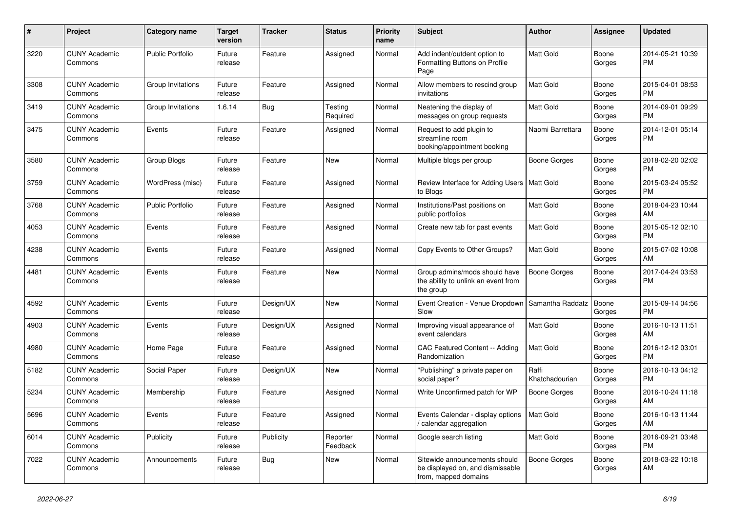| #    | Project                         | <b>Category name</b>    | Target<br>version | Tracker    | <b>Status</b>        | <b>Priority</b><br>name | <b>Subject</b>                                                                            | <b>Author</b>           | <b>Assignee</b> | <b>Updated</b>                |
|------|---------------------------------|-------------------------|-------------------|------------|----------------------|-------------------------|-------------------------------------------------------------------------------------------|-------------------------|-----------------|-------------------------------|
| 3220 | <b>CUNY Academic</b><br>Commons | <b>Public Portfolio</b> | Future<br>release | Feature    | Assigned             | Normal                  | Add indent/outdent option to<br>Formatting Buttons on Profile<br>Page                     | <b>Matt Gold</b>        | Boone<br>Gorges | 2014-05-21 10:39<br>РM        |
| 3308 | <b>CUNY Academic</b><br>Commons | Group Invitations       | Future<br>release | Feature    | Assigned             | Normal                  | Allow members to rescind group<br>invitations                                             | Matt Gold               | Boone<br>Gorges | 2015-04-01 08:53<br><b>PM</b> |
| 3419 | <b>CUNY Academic</b><br>Commons | Group Invitations       | 1.6.14            | <b>Bug</b> | Testing<br>Required  | Normal                  | Neatening the display of<br>messages on group requests                                    | Matt Gold               | Boone<br>Gorges | 2014-09-01 09:29<br><b>PM</b> |
| 3475 | <b>CUNY Academic</b><br>Commons | Events                  | Future<br>release | Feature    | Assigned             | Normal                  | Request to add plugin to<br>streamline room<br>booking/appointment booking                | Naomi Barrettara        | Boone<br>Gorges | 2014-12-01 05:14<br><b>PM</b> |
| 3580 | <b>CUNY Academic</b><br>Commons | Group Blogs             | Future<br>release | Feature    | New                  | Normal                  | Multiple blogs per group                                                                  | <b>Boone Gorges</b>     | Boone<br>Gorges | 2018-02-20 02:02<br><b>PM</b> |
| 3759 | <b>CUNY Academic</b><br>Commons | WordPress (misc)        | Future<br>release | Feature    | Assigned             | Normal                  | Review Interface for Adding Users<br>to Blogs                                             | Matt Gold               | Boone<br>Gorges | 2015-03-24 05:52<br><b>PM</b> |
| 3768 | <b>CUNY Academic</b><br>Commons | <b>Public Portfolio</b> | Future<br>release | Feature    | Assigned             | Normal                  | Institutions/Past positions on<br>public portfolios                                       | <b>Matt Gold</b>        | Boone<br>Gorges | 2018-04-23 10:44<br>AM        |
| 4053 | <b>CUNY Academic</b><br>Commons | Events                  | Future<br>release | Feature    | Assigned             | Normal                  | Create new tab for past events                                                            | Matt Gold               | Boone<br>Gorges | 2015-05-12 02:10<br><b>PM</b> |
| 4238 | <b>CUNY Academic</b><br>Commons | Events                  | Future<br>release | Feature    | Assigned             | Normal                  | Copy Events to Other Groups?                                                              | Matt Gold               | Boone<br>Gorges | 2015-07-02 10:08<br>AM        |
| 4481 | <b>CUNY Academic</b><br>Commons | Events                  | Future<br>release | Feature    | New                  | Normal                  | Group admins/mods should have<br>the ability to unlink an event from<br>the group         | <b>Boone Gorges</b>     | Boone<br>Gorges | 2017-04-24 03:53<br><b>PM</b> |
| 4592 | <b>CUNY Academic</b><br>Commons | Events                  | Future<br>release | Design/UX  | New                  | Normal                  | Event Creation - Venue Dropdown<br>Slow                                                   | Samantha Raddatz        | Boone<br>Gorges | 2015-09-14 04:56<br><b>PM</b> |
| 4903 | <b>CUNY Academic</b><br>Commons | Events                  | Future<br>release | Design/UX  | Assigned             | Normal                  | Improving visual appearance of<br>event calendars                                         | Matt Gold               | Boone<br>Gorges | 2016-10-13 11:51<br>AM        |
| 4980 | <b>CUNY Academic</b><br>Commons | Home Page               | Future<br>release | Feature    | Assigned             | Normal                  | CAC Featured Content -- Adding<br>Randomization                                           | Matt Gold               | Boone<br>Gorges | 2016-12-12 03:01<br><b>PM</b> |
| 5182 | <b>CUNY Academic</b><br>Commons | Social Paper            | Future<br>release | Design/UX  | New                  | Normal                  | "Publishing" a private paper on<br>social paper?                                          | Raffi<br>Khatchadourian | Boone<br>Gorges | 2016-10-13 04:12<br><b>PM</b> |
| 5234 | <b>CUNY Academic</b><br>Commons | Membership              | Future<br>release | Feature    | Assigned             | Normal                  | Write Unconfirmed patch for WP                                                            | Boone Gorges            | Boone<br>Gorges | 2016-10-24 11:18<br>AM        |
| 5696 | <b>CUNY Academic</b><br>Commons | Events                  | Future<br>release | Feature    | Assigned             | Normal                  | Events Calendar - display options   Matt Gold<br>calendar aggregation                     |                         | Boone<br>Gorges | 2016-10-13 11:44<br>AM        |
| 6014 | <b>CUNY Academic</b><br>Commons | Publicity               | Future<br>release | Publicity  | Reporter<br>Feedback | Normal                  | Google search listing                                                                     | Matt Gold               | Boone<br>Gorges | 2016-09-21 03:48<br>PM        |
| 7022 | <b>CUNY Academic</b><br>Commons | Announcements           | Future<br>release | Bug        | New                  | Normal                  | Sitewide announcements should<br>be displayed on, and dismissable<br>from, mapped domains | Boone Gorges            | Boone<br>Gorges | 2018-03-22 10:18<br>AM        |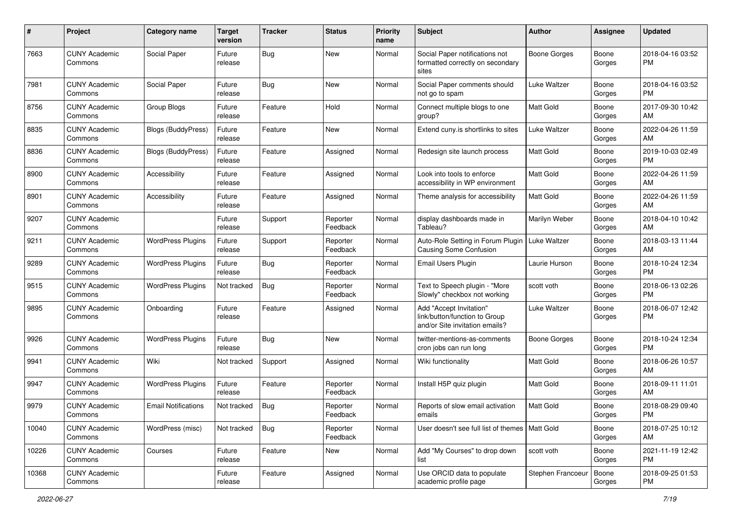| #     | Project                         | <b>Category name</b>       | <b>Target</b><br>version | <b>Tracker</b> | <b>Status</b>        | <b>Priority</b><br>name | Subject                                                                                    | Author              | <b>Assignee</b> | <b>Updated</b>                |
|-------|---------------------------------|----------------------------|--------------------------|----------------|----------------------|-------------------------|--------------------------------------------------------------------------------------------|---------------------|-----------------|-------------------------------|
| 7663  | <b>CUNY Academic</b><br>Commons | Social Paper               | Future<br>release        | <b>Bug</b>     | New                  | Normal                  | Social Paper notifications not<br>formatted correctly on secondary<br>sites                | Boone Gorges        | Boone<br>Gorges | 2018-04-16 03:52<br><b>PM</b> |
| 7981  | <b>CUNY Academic</b><br>Commons | Social Paper               | Future<br>release        | <b>Bug</b>     | <b>New</b>           | Normal                  | Social Paper comments should<br>not go to spam                                             | <b>Luke Waltzer</b> | Boone<br>Gorges | 2018-04-16 03:52<br><b>PM</b> |
| 8756  | <b>CUNY Academic</b><br>Commons | Group Blogs                | Future<br>release        | Feature        | Hold                 | Normal                  | Connect multiple blogs to one<br>group?                                                    | Matt Gold           | Boone<br>Gorges | 2017-09-30 10:42<br>AM        |
| 8835  | <b>CUNY Academic</b><br>Commons | <b>Blogs (BuddyPress)</b>  | Future<br>release        | Feature        | New                  | Normal                  | Extend cuny is shortlinks to sites                                                         | Luke Waltzer        | Boone<br>Gorges | 2022-04-26 11:59<br>AM        |
| 8836  | <b>CUNY Academic</b><br>Commons | <b>Blogs (BuddyPress)</b>  | Future<br>release        | Feature        | Assigned             | Normal                  | Redesign site launch process                                                               | <b>Matt Gold</b>    | Boone<br>Gorges | 2019-10-03 02:49<br><b>PM</b> |
| 8900  | <b>CUNY Academic</b><br>Commons | Accessibility              | Future<br>release        | Feature        | Assigned             | Normal                  | Look into tools to enforce<br>accessibility in WP environment                              | <b>Matt Gold</b>    | Boone<br>Gorges | 2022-04-26 11:59<br>AM        |
| 8901  | <b>CUNY Academic</b><br>Commons | Accessibility              | Future<br>release        | Feature        | Assigned             | Normal                  | Theme analysis for accessibility                                                           | <b>Matt Gold</b>    | Boone<br>Gorges | 2022-04-26 11:59<br>AM        |
| 9207  | <b>CUNY Academic</b><br>Commons |                            | Future<br>release        | Support        | Reporter<br>Feedback | Normal                  | display dashboards made in<br>Tableau?                                                     | Marilyn Weber       | Boone<br>Gorges | 2018-04-10 10:42<br>AM        |
| 9211  | <b>CUNY Academic</b><br>Commons | <b>WordPress Plugins</b>   | Future<br>release        | Support        | Reporter<br>Feedback | Normal                  | Auto-Role Setting in Forum Plugin   Luke Waltzer<br><b>Causing Some Confusion</b>          |                     | Boone<br>Gorges | 2018-03-13 11:44<br>AM        |
| 9289  | <b>CUNY Academic</b><br>Commons | <b>WordPress Plugins</b>   | Future<br>release        | <b>Bug</b>     | Reporter<br>Feedback | Normal                  | <b>Email Users Plugin</b>                                                                  | Laurie Hurson       | Boone<br>Gorges | 2018-10-24 12:34<br><b>PM</b> |
| 9515  | <b>CUNY Academic</b><br>Commons | <b>WordPress Plugins</b>   | Not tracked              | <b>Bug</b>     | Reporter<br>Feedback | Normal                  | Text to Speech plugin - "More<br>Slowly" checkbox not working                              | scott voth          | Boone<br>Gorges | 2018-06-13 02:26<br><b>PM</b> |
| 9895  | <b>CUNY Academic</b><br>Commons | Onboarding                 | Future<br>release        | Feature        | Assigned             | Normal                  | Add "Accept Invitation"<br>link/button/function to Group<br>and/or Site invitation emails? | Luke Waltzer        | Boone<br>Gorges | 2018-06-07 12:42<br><b>PM</b> |
| 9926  | <b>CUNY Academic</b><br>Commons | <b>WordPress Plugins</b>   | Future<br>release        | <b>Bug</b>     | <b>New</b>           | Normal                  | twitter-mentions-as-comments<br>cron jobs can run long                                     | Boone Gorges        | Boone<br>Gorges | 2018-10-24 12:34<br><b>PM</b> |
| 9941  | <b>CUNY Academic</b><br>Commons | Wiki                       | Not tracked              | Support        | Assigned             | Normal                  | Wiki functionality                                                                         | Matt Gold           | Boone<br>Gorges | 2018-06-26 10:57<br>AM        |
| 9947  | <b>CUNY Academic</b><br>Commons | <b>WordPress Plugins</b>   | Future<br>release        | Feature        | Reporter<br>Feedback | Normal                  | Install H5P quiz plugin                                                                    | Matt Gold           | Boone<br>Gorges | 2018-09-11 11:01<br>AM        |
| 9979  | <b>CUNY Academic</b><br>Commons | <b>Email Notifications</b> | Not tracked              | <b>Bug</b>     | Reporter<br>Feedback | Normal                  | Reports of slow email activation<br>emails                                                 | <b>Matt Gold</b>    | Boone<br>Gorges | 2018-08-29 09:40<br>PM        |
| 10040 | <b>CUNY Academic</b><br>Commons | WordPress (misc)           | Not tracked              | Bug            | Reporter<br>Feedback | Normal                  | User doesn't see full list of themes   Matt Gold                                           |                     | Boone<br>Gorges | 2018-07-25 10:12<br>AM        |
| 10226 | <b>CUNY Academic</b><br>Commons | Courses                    | Future<br>release        | Feature        | New                  | Normal                  | Add "My Courses" to drop down<br>list                                                      | scott voth          | Boone<br>Gorges | 2021-11-19 12:42<br><b>PM</b> |
| 10368 | <b>CUNY Academic</b><br>Commons |                            | Future<br>release        | Feature        | Assigned             | Normal                  | Use ORCID data to populate<br>academic profile page                                        | Stephen Francoeur   | Boone<br>Gorges | 2018-09-25 01:53<br><b>PM</b> |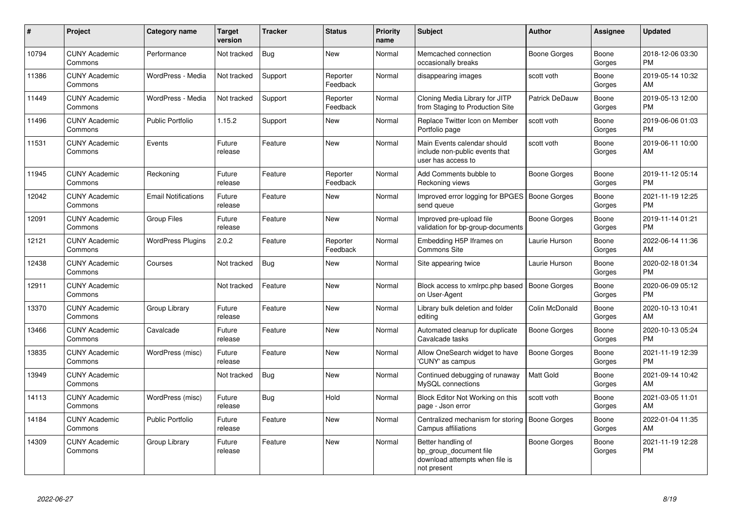| #     | Project                         | <b>Category name</b>       | <b>Target</b><br>version | <b>Tracker</b> | <b>Status</b>        | <b>Priority</b><br>name | <b>Subject</b>                                                                                | <b>Author</b>       | <b>Assignee</b> | <b>Updated</b>                |
|-------|---------------------------------|----------------------------|--------------------------|----------------|----------------------|-------------------------|-----------------------------------------------------------------------------------------------|---------------------|-----------------|-------------------------------|
| 10794 | <b>CUNY Academic</b><br>Commons | Performance                | Not tracked              | Bug            | <b>New</b>           | Normal                  | Memcached connection<br>occasionally breaks                                                   | <b>Boone Gorges</b> | Boone<br>Gorges | 2018-12-06 03:30<br><b>PM</b> |
| 11386 | <b>CUNY Academic</b><br>Commons | WordPress - Media          | Not tracked              | Support        | Reporter<br>Feedback | Normal                  | disappearing images                                                                           | scott voth          | Boone<br>Gorges | 2019-05-14 10:32<br>AM        |
| 11449 | <b>CUNY Academic</b><br>Commons | WordPress - Media          | Not tracked              | Support        | Reporter<br>Feedback | Normal                  | Cloning Media Library for JITP<br>from Staging to Production Site                             | Patrick DeDauw      | Boone<br>Gorges | 2019-05-13 12:00<br><b>PM</b> |
| 11496 | <b>CUNY Academic</b><br>Commons | <b>Public Portfolio</b>    | 1.15.2                   | Support        | <b>New</b>           | Normal                  | Replace Twitter Icon on Member<br>Portfolio page                                              | scott voth          | Boone<br>Gorges | 2019-06-06 01:03<br><b>PM</b> |
| 11531 | <b>CUNY Academic</b><br>Commons | Events                     | Future<br>release        | Feature        | New                  | Normal                  | Main Events calendar should<br>include non-public events that<br>user has access to           | scott voth          | Boone<br>Gorges | 2019-06-11 10:00<br>AM        |
| 11945 | <b>CUNY Academic</b><br>Commons | Reckoning                  | Future<br>release        | Feature        | Reporter<br>Feedback | Normal                  | Add Comments bubble to<br>Reckoning views                                                     | Boone Gorges        | Boone<br>Gorges | 2019-11-12 05:14<br><b>PM</b> |
| 12042 | <b>CUNY Academic</b><br>Commons | <b>Email Notifications</b> | Future<br>release        | Feature        | <b>New</b>           | Normal                  | Improved error logging for BPGES   Boone Gorges<br>send queue                                 |                     | Boone<br>Gorges | 2021-11-19 12:25<br><b>PM</b> |
| 12091 | <b>CUNY Academic</b><br>Commons | <b>Group Files</b>         | Future<br>release        | Feature        | <b>New</b>           | Normal                  | Improved pre-upload file<br>validation for bp-group-documents                                 | <b>Boone Gorges</b> | Boone<br>Gorges | 2019-11-14 01:21<br><b>PM</b> |
| 12121 | <b>CUNY Academic</b><br>Commons | <b>WordPress Plugins</b>   | 2.0.2                    | Feature        | Reporter<br>Feedback | Normal                  | Embedding H5P Iframes on<br><b>Commons Site</b>                                               | Laurie Hurson       | Boone<br>Gorges | 2022-06-14 11:36<br>AM        |
| 12438 | <b>CUNY Academic</b><br>Commons | Courses                    | Not tracked              | <b>Bug</b>     | <b>New</b>           | Normal                  | Site appearing twice                                                                          | Laurie Hurson       | Boone<br>Gorges | 2020-02-18 01:34<br>PM        |
| 12911 | <b>CUNY Academic</b><br>Commons |                            | Not tracked              | Feature        | <b>New</b>           | Normal                  | Block access to xmlrpc.php based<br>on User-Agent                                             | <b>Boone Gorges</b> | Boone<br>Gorges | 2020-06-09 05:12<br>PM        |
| 13370 | <b>CUNY Academic</b><br>Commons | Group Library              | Future<br>release        | Feature        | <b>New</b>           | Normal                  | Library bulk deletion and folder<br>editing                                                   | Colin McDonald      | Boone<br>Gorges | 2020-10-13 10:41<br>AM        |
| 13466 | <b>CUNY Academic</b><br>Commons | Cavalcade                  | Future<br>release        | Feature        | <b>New</b>           | Normal                  | Automated cleanup for duplicate<br>Cavalcade tasks                                            | Boone Gorges        | Boone<br>Gorges | 2020-10-13 05:24<br><b>PM</b> |
| 13835 | <b>CUNY Academic</b><br>Commons | WordPress (misc)           | Future<br>release        | Feature        | <b>New</b>           | Normal                  | Allow OneSearch widget to have<br>'CUNY' as campus                                            | <b>Boone Gorges</b> | Boone<br>Gorges | 2021-11-19 12:39<br><b>PM</b> |
| 13949 | <b>CUNY Academic</b><br>Commons |                            | Not tracked              | <b>Bug</b>     | <b>New</b>           | Normal                  | Continued debugging of runaway<br>MySQL connections                                           | <b>Matt Gold</b>    | Boone<br>Gorges | 2021-09-14 10:42<br>AM        |
| 14113 | <b>CUNY Academic</b><br>Commons | WordPress (misc)           | Future<br>release        | Bug            | Hold                 | Normal                  | Block Editor Not Working on this<br>page - Json error                                         | scott voth          | Boone<br>Gorges | 2021-03-05 11:01<br>AM        |
| 14184 | <b>CUNY Academic</b><br>Commons | <b>Public Portfolio</b>    | Future<br>release        | Feature        | <b>New</b>           | Normal                  | Centralized mechanism for storing<br>Campus affiliations                                      | <b>Boone Gorges</b> | Boone<br>Gorges | 2022-01-04 11:35<br>AM        |
| 14309 | <b>CUNY Academic</b><br>Commons | Group Library              | Future<br>release        | Feature        | <b>New</b>           | Normal                  | Better handling of<br>bp group document file<br>download attempts when file is<br>not present | <b>Boone Gorges</b> | Boone<br>Gorges | 2021-11-19 12:28<br><b>PM</b> |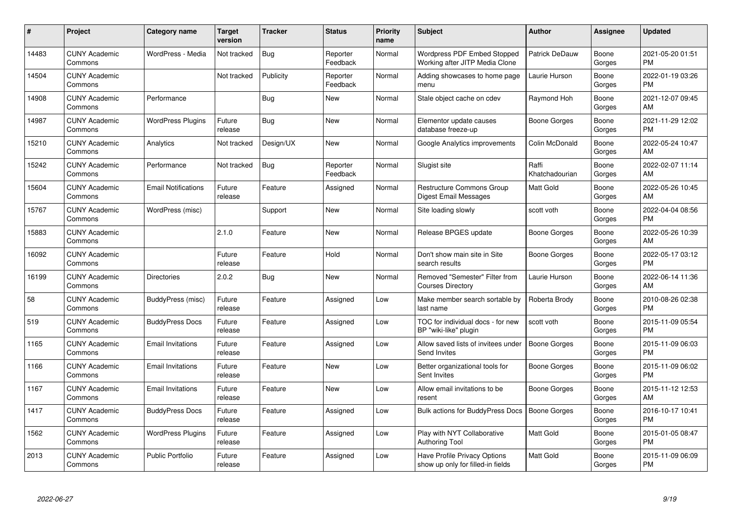| #     | Project                         | <b>Category name</b>       | Target<br>version | <b>Tracker</b> | <b>Status</b>        | <b>Priority</b><br>name | <b>Subject</b>                                                    | <b>Author</b>           | <b>Assignee</b> | <b>Updated</b>                |
|-------|---------------------------------|----------------------------|-------------------|----------------|----------------------|-------------------------|-------------------------------------------------------------------|-------------------------|-----------------|-------------------------------|
| 14483 | <b>CUNY Academic</b><br>Commons | WordPress - Media          | Not tracked       | <b>Bug</b>     | Reporter<br>Feedback | Normal                  | Wordpress PDF Embed Stopped<br>Working after JITP Media Clone     | Patrick DeDauw          | Boone<br>Gorges | 2021-05-20 01:51<br><b>PM</b> |
| 14504 | <b>CUNY Academic</b><br>Commons |                            | Not tracked       | Publicity      | Reporter<br>Feedback | Normal                  | Adding showcases to home page<br>menu                             | Laurie Hurson           | Boone<br>Gorges | 2022-01-19 03:26<br><b>PM</b> |
| 14908 | <b>CUNY Academic</b><br>Commons | Performance                |                   | <b>Bug</b>     | <b>New</b>           | Normal                  | Stale object cache on cdev                                        | Raymond Hoh             | Boone<br>Gorges | 2021-12-07 09:45<br>AM        |
| 14987 | <b>CUNY Academic</b><br>Commons | <b>WordPress Plugins</b>   | Future<br>release | Bug            | <b>New</b>           | Normal                  | Elementor update causes<br>database freeze-up                     | Boone Gorges            | Boone<br>Gorges | 2021-11-29 12:02<br><b>PM</b> |
| 15210 | <b>CUNY Academic</b><br>Commons | Analytics                  | Not tracked       | Design/UX      | <b>New</b>           | Normal                  | Google Analytics improvements                                     | Colin McDonald          | Boone<br>Gorges | 2022-05-24 10:47<br>AM        |
| 15242 | <b>CUNY Academic</b><br>Commons | Performance                | Not tracked       | <b>Bug</b>     | Reporter<br>Feedback | Normal                  | Slugist site                                                      | Raffi<br>Khatchadourian | Boone<br>Gorges | 2022-02-07 11:14<br>AM        |
| 15604 | <b>CUNY Academic</b><br>Commons | <b>Email Notifications</b> | Future<br>release | Feature        | Assigned             | Normal                  | <b>Restructure Commons Group</b><br><b>Digest Email Messages</b>  | Matt Gold               | Boone<br>Gorges | 2022-05-26 10:45<br>AM        |
| 15767 | <b>CUNY Academic</b><br>Commons | WordPress (misc)           |                   | Support        | <b>New</b>           | Normal                  | Site loading slowly                                               | scott voth              | Boone<br>Gorges | 2022-04-04 08:56<br><b>PM</b> |
| 15883 | <b>CUNY Academic</b><br>Commons |                            | 2.1.0             | Feature        | <b>New</b>           | Normal                  | Release BPGES update                                              | Boone Gorges            | Boone<br>Gorges | 2022-05-26 10:39<br>AM        |
| 16092 | <b>CUNY Academic</b><br>Commons |                            | Future<br>release | Feature        | Hold                 | Normal                  | Don't show main site in Site<br>search results                    | Boone Gorges            | Boone<br>Gorges | 2022-05-17 03:12<br><b>PM</b> |
| 16199 | <b>CUNY Academic</b><br>Commons | <b>Directories</b>         | 2.0.2             | <b>Bug</b>     | <b>New</b>           | Normal                  | Removed "Semester" Filter from<br><b>Courses Directory</b>        | Laurie Hurson           | Boone<br>Gorges | 2022-06-14 11:36<br>AM        |
| 58    | <b>CUNY Academic</b><br>Commons | BuddyPress (misc)          | Future<br>release | Feature        | Assigned             | Low                     | Make member search sortable by<br>last name                       | Roberta Brody           | Boone<br>Gorges | 2010-08-26 02:38<br><b>PM</b> |
| 519   | <b>CUNY Academic</b><br>Commons | <b>BuddyPress Docs</b>     | Future<br>release | Feature        | Assigned             | Low                     | TOC for individual docs - for new<br>BP "wiki-like" plugin        | scott voth              | Boone<br>Gorges | 2015-11-09 05:54<br><b>PM</b> |
| 1165  | <b>CUNY Academic</b><br>Commons | <b>Email Invitations</b>   | Future<br>release | Feature        | Assigned             | Low                     | Allow saved lists of invitees under<br>Send Invites               | <b>Boone Gorges</b>     | Boone<br>Gorges | 2015-11-09 06:03<br><b>PM</b> |
| 1166  | <b>CUNY Academic</b><br>Commons | <b>Email Invitations</b>   | Future<br>release | Feature        | <b>New</b>           | Low                     | Better organizational tools for<br>Sent Invites                   | Boone Gorges            | Boone<br>Gorges | 2015-11-09 06:02<br><b>PM</b> |
| 1167  | <b>CUNY Academic</b><br>Commons | <b>Email Invitations</b>   | Future<br>release | Feature        | <b>New</b>           | Low                     | Allow email invitations to be<br>resent                           | Boone Gorges            | Boone<br>Gorges | 2015-11-12 12:53<br>AM        |
| 1417  | <b>CUNY Academic</b><br>Commons | <b>BuddyPress Docs</b>     | Future<br>release | Feature        | Assigned             | Low                     | Bulk actions for BuddyPress Docs                                  | Boone Gorges            | Boone<br>Gorges | 2016-10-17 10:41<br><b>PM</b> |
| 1562  | <b>CUNY Academic</b><br>Commons | <b>WordPress Plugins</b>   | Future<br>release | Feature        | Assigned             | Low                     | Play with NYT Collaborative<br><b>Authoring Tool</b>              | <b>Matt Gold</b>        | Boone<br>Gorges | 2015-01-05 08:47<br><b>PM</b> |
| 2013  | <b>CUNY Academic</b><br>Commons | <b>Public Portfolio</b>    | Future<br>release | Feature        | Assigned             | Low                     | Have Profile Privacy Options<br>show up only for filled-in fields | <b>Matt Gold</b>        | Boone<br>Gorges | 2015-11-09 06:09<br><b>PM</b> |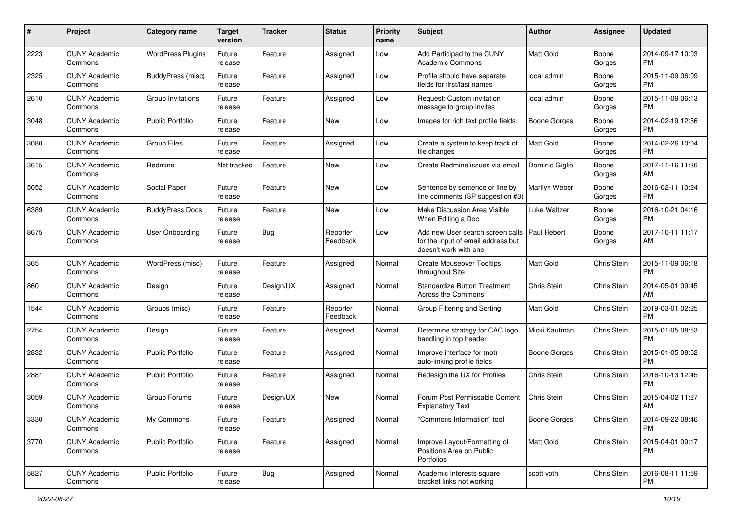| #    | Project                         | <b>Category name</b>     | <b>Target</b><br>version | <b>Tracker</b> | <b>Status</b>        | <b>Priority</b><br>name | Subject                                                                                                       | Author              | <b>Assignee</b> | <b>Updated</b>                |
|------|---------------------------------|--------------------------|--------------------------|----------------|----------------------|-------------------------|---------------------------------------------------------------------------------------------------------------|---------------------|-----------------|-------------------------------|
| 2223 | <b>CUNY Academic</b><br>Commons | <b>WordPress Plugins</b> | Future<br>release        | Feature        | Assigned             | Low                     | Add Participad to the CUNY<br><b>Academic Commons</b>                                                         | <b>Matt Gold</b>    | Boone<br>Gorges | 2014-09-17 10:03<br><b>PM</b> |
| 2325 | <b>CUNY Academic</b><br>Commons | BuddyPress (misc)        | Future<br>release        | Feature        | Assigned             | Low                     | Profile should have separate<br>fields for first/last names                                                   | local admin         | Boone<br>Gorges | 2015-11-09 06:09<br><b>PM</b> |
| 2610 | <b>CUNY Academic</b><br>Commons | Group Invitations        | Future<br>release        | Feature        | Assigned             | Low                     | Request: Custom invitation<br>message to group invites                                                        | local admin         | Boone<br>Gorges | 2015-11-09 06:13<br><b>PM</b> |
| 3048 | <b>CUNY Academic</b><br>Commons | Public Portfolio         | Future<br>release        | Feature        | New                  | Low                     | Images for rich text profile fields                                                                           | Boone Gorges        | Boone<br>Gorges | 2014-02-19 12:56<br><b>PM</b> |
| 3080 | <b>CUNY Academic</b><br>Commons | <b>Group Files</b>       | Future<br>release        | Feature        | Assigned             | Low                     | Create a system to keep track of<br>file changes                                                              | <b>Matt Gold</b>    | Boone<br>Gorges | 2014-02-26 10:04<br><b>PM</b> |
| 3615 | <b>CUNY Academic</b><br>Commons | Redmine                  | Not tracked              | Feature        | New                  | Low                     | Create Redmine issues via email                                                                               | Dominic Giglio      | Boone<br>Gorges | 2017-11-16 11:36<br>AM        |
| 5052 | <b>CUNY Academic</b><br>Commons | Social Paper             | Future<br>release        | Feature        | <b>New</b>           | Low                     | Sentence by sentence or line by<br>line comments (SP suggestion #3)                                           | Marilyn Weber       | Boone<br>Gorges | 2016-02-11 10:24<br><b>PM</b> |
| 6389 | <b>CUNY Academic</b><br>Commons | <b>BuddyPress Docs</b>   | Future<br>release        | Feature        | <b>New</b>           | Low                     | Make Discussion Area Visible<br>When Editing a Doc                                                            | Luke Waltzer        | Boone<br>Gorges | 2016-10-21 04:16<br><b>PM</b> |
| 8675 | <b>CUNY Academic</b><br>Commons | <b>User Onboarding</b>   | Future<br>release        | <b>Bug</b>     | Reporter<br>Feedback | Low                     | Add new User search screen calls   Paul Hebert<br>for the input of email address but<br>doesn't work with one |                     | Boone<br>Gorges | 2017-10-11 11:17<br>AM        |
| 365  | <b>CUNY Academic</b><br>Commons | WordPress (misc)         | Future<br>release        | Feature        | Assigned             | Normal                  | <b>Create Mouseover Tooltips</b><br>throughout Site                                                           | <b>Matt Gold</b>    | Chris Stein     | 2015-11-09 06:18<br><b>PM</b> |
| 860  | <b>CUNY Academic</b><br>Commons | Design                   | Future<br>release        | Design/UX      | Assigned             | Normal                  | <b>Standardize Button Treatment</b><br>Across the Commons                                                     | <b>Chris Stein</b>  | Chris Stein     | 2014-05-01 09:45<br>AM        |
| 1544 | <b>CUNY Academic</b><br>Commons | Groups (misc)            | Future<br>release        | Feature        | Reporter<br>Feedback | Normal                  | Group Filtering and Sorting                                                                                   | Matt Gold           | Chris Stein     | 2019-03-01 02:25<br><b>PM</b> |
| 2754 | <b>CUNY Academic</b><br>Commons | Design                   | Future<br>release        | Feature        | Assigned             | Normal                  | Determine strategy for CAC logo<br>handling in top header                                                     | Micki Kaufman       | Chris Stein     | 2015-01-05 08:53<br><b>PM</b> |
| 2832 | <b>CUNY Academic</b><br>Commons | <b>Public Portfolio</b>  | Future<br>release        | Feature        | Assigned             | Normal                  | Improve interface for (not)<br>auto-linking profile fields                                                    | <b>Boone Gorges</b> | Chris Stein     | 2015-01-05 08:52<br><b>PM</b> |
| 2881 | <b>CUNY Academic</b><br>Commons | <b>Public Portfolio</b>  | Future<br>release        | Feature        | Assigned             | Normal                  | Redesign the UX for Profiles                                                                                  | Chris Stein         | Chris Stein     | 2016-10-13 12:45<br><b>PM</b> |
| 3059 | <b>CUNY Academic</b><br>Commons | Group Forums             | Future<br>release        | Design/UX      | New                  | Normal                  | Forum Post Permissable Content<br><b>Explanatory Text</b>                                                     | <b>Chris Stein</b>  | Chris Stein     | 2015-04-02 11:27<br>AM        |
| 3330 | <b>CUNY Academic</b><br>Commons | My Commons               | Future<br>release        | Feature        | Assigned             | Normal                  | "Commons Information" tool                                                                                    | <b>Boone Gorges</b> | Chris Stein     | 2014-09-22 08:46<br>PM        |
| 3770 | <b>CUNY Academic</b><br>Commons | Public Portfolio         | Future<br>release        | Feature        | Assigned             | Normal                  | Improve Layout/Formatting of<br>Positions Area on Public<br>Portfolios                                        | Matt Gold           | Chris Stein     | 2015-04-01 09:17<br>PM        |
| 5827 | <b>CUNY Academic</b><br>Commons | Public Portfolio         | Future<br>release        | <b>Bug</b>     | Assigned             | Normal                  | Academic Interests square<br>bracket links not working                                                        | scott voth          | Chris Stein     | 2016-08-11 11:59<br>PM        |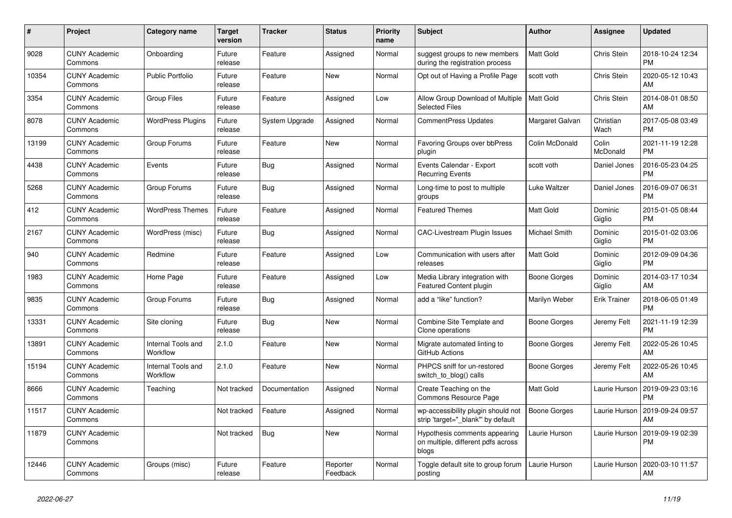| #     | <b>Project</b>                  | Category name                  | Target<br>version | <b>Tracker</b> | <b>Status</b>        | <b>Priority</b><br>name | <b>Subject</b>                                                               | <b>Author</b>    | Assignee            | <b>Updated</b>                |
|-------|---------------------------------|--------------------------------|-------------------|----------------|----------------------|-------------------------|------------------------------------------------------------------------------|------------------|---------------------|-------------------------------|
| 9028  | <b>CUNY Academic</b><br>Commons | Onboarding                     | Future<br>release | Feature        | Assigned             | Normal                  | suggest groups to new members<br>during the registration process             | <b>Matt Gold</b> | Chris Stein         | 2018-10-24 12:34<br><b>PM</b> |
| 10354 | <b>CUNY Academic</b><br>Commons | <b>Public Portfolio</b>        | Future<br>release | Feature        | <b>New</b>           | Normal                  | Opt out of Having a Profile Page                                             | scott voth       | Chris Stein         | 2020-05-12 10:43<br>AM        |
| 3354  | <b>CUNY Academic</b><br>Commons | <b>Group Files</b>             | Future<br>release | Feature        | Assigned             | Low                     | Allow Group Download of Multiple<br><b>Selected Files</b>                    | <b>Matt Gold</b> | Chris Stein         | 2014-08-01 08:50<br>AM        |
| 8078  | <b>CUNY Academic</b><br>Commons | <b>WordPress Plugins</b>       | Future<br>release | System Upgrade | Assigned             | Normal                  | <b>CommentPress Updates</b>                                                  | Margaret Galvan  | Christian<br>Wach   | 2017-05-08 03:49<br><b>PM</b> |
| 13199 | <b>CUNY Academic</b><br>Commons | Group Forums                   | Future<br>release | Feature        | New                  | Normal                  | Favoring Groups over bbPress<br>plugin                                       | Colin McDonald   | Colin<br>McDonald   | 2021-11-19 12:28<br><b>PM</b> |
| 4438  | <b>CUNY Academic</b><br>Commons | Events                         | Future<br>release | Bug            | Assigned             | Normal                  | Events Calendar - Export<br><b>Recurring Events</b>                          | scott voth       | Daniel Jones        | 2016-05-23 04:25<br><b>PM</b> |
| 5268  | <b>CUNY Academic</b><br>Commons | Group Forums                   | Future<br>release | <b>Bug</b>     | Assigned             | Normal                  | Long-time to post to multiple<br>groups                                      | Luke Waltzer     | Daniel Jones        | 2016-09-07 06:31<br><b>PM</b> |
| 412   | <b>CUNY Academic</b><br>Commons | <b>WordPress Themes</b>        | Future<br>release | Feature        | Assigned             | Normal                  | <b>Featured Themes</b>                                                       | <b>Matt Gold</b> | Dominic<br>Giglio   | 2015-01-05 08:44<br>PM        |
| 2167  | <b>CUNY Academic</b><br>Commons | WordPress (misc)               | Future<br>release | <b>Bug</b>     | Assigned             | Normal                  | <b>CAC-Livestream Plugin Issues</b>                                          | Michael Smith    | Dominic<br>Giglio   | 2015-01-02 03:06<br><b>PM</b> |
| 940   | <b>CUNY Academic</b><br>Commons | Redmine                        | Future<br>release | Feature        | Assigned             | Low                     | Communication with users after<br>releases                                   | <b>Matt Gold</b> | Dominic<br>Giglio   | 2012-09-09 04:36<br><b>PM</b> |
| 1983  | <b>CUNY Academic</b><br>Commons | Home Page                      | Future<br>release | Feature        | Assigned             | Low                     | Media Library integration with<br>Featured Content plugin                    | Boone Gorges     | Dominic<br>Giglio   | 2014-03-17 10:34<br>AM        |
| 9835  | <b>CUNY Academic</b><br>Commons | Group Forums                   | Future<br>release | <b>Bug</b>     | Assigned             | Normal                  | add a "like" function?                                                       | Marilyn Weber    | <b>Erik Trainer</b> | 2018-06-05 01:49<br><b>PM</b> |
| 13331 | <b>CUNY Academic</b><br>Commons | Site cloning                   | Future<br>release | Bug            | New                  | Normal                  | Combine Site Template and<br>Clone operations                                | Boone Gorges     | Jeremy Felt         | 2021-11-19 12:39<br><b>PM</b> |
| 13891 | <b>CUNY Academic</b><br>Commons | Internal Tools and<br>Workflow | 2.1.0             | Feature        | <b>New</b>           | Normal                  | Migrate automated linting to<br>GitHub Actions                               | Boone Gorges     | Jeremy Felt         | 2022-05-26 10:45<br>AM        |
| 15194 | <b>CUNY Academic</b><br>Commons | Internal Tools and<br>Workflow | 2.1.0             | Feature        | <b>New</b>           | Normal                  | PHPCS sniff for un-restored<br>switch to blog() calls                        | Boone Gorges     | Jeremy Felt         | 2022-05-26 10:45<br>AM        |
| 8666  | <b>CUNY Academic</b><br>Commons | Teaching                       | Not tracked       | Documentation  | Assigned             | Normal                  | Create Teaching on the<br>Commons Resource Page                              | Matt Gold        | Laurie Hurson       | 2019-09-23 03:16<br><b>PM</b> |
| 11517 | <b>CUNY Academic</b><br>Commons |                                | Not tracked       | Feature        | Assigned             | Normal                  | wp-accessibility plugin should not<br>strip 'target=" blank" by default      | Boone Gorges     | Laurie Hurson       | 2019-09-24 09:57<br>AM        |
| 11879 | <b>CUNY Academic</b><br>Commons |                                | Not tracked       | Bug            | <b>New</b>           | Normal                  | Hypothesis comments appearing<br>on multiple, different pdfs across<br>blogs | Laurie Hurson    | Laurie Hurson       | 2019-09-19 02:39<br><b>PM</b> |
| 12446 | <b>CUNY Academic</b><br>Commons | Groups (misc)                  | Future<br>release | Feature        | Reporter<br>Feedback | Normal                  | Toggle default site to group forum<br>posting                                | Laurie Hurson    | Laurie Hurson       | 2020-03-10 11:57<br>AM        |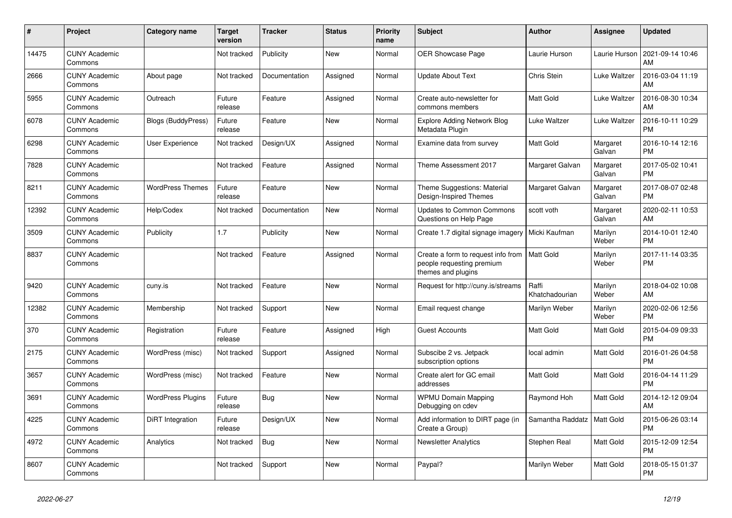| #     | <b>Project</b>                  | Category name             | <b>Target</b><br>version | <b>Tracker</b> | <b>Status</b> | <b>Priority</b><br>name | <b>Subject</b>                                                                        | <b>Author</b>           | <b>Assignee</b>    | <b>Updated</b>                |
|-------|---------------------------------|---------------------------|--------------------------|----------------|---------------|-------------------------|---------------------------------------------------------------------------------------|-------------------------|--------------------|-------------------------------|
| 14475 | <b>CUNY Academic</b><br>Commons |                           | Not tracked              | Publicity      | <b>New</b>    | Normal                  | OER Showcase Page                                                                     | Laurie Hurson           | Laurie Hurson      | 2021-09-14 10:46<br>AM        |
| 2666  | <b>CUNY Academic</b><br>Commons | About page                | Not tracked              | Documentation  | Assigned      | Normal                  | Update About Text                                                                     | <b>Chris Stein</b>      | Luke Waltzer       | 2016-03-04 11:19<br>AM        |
| 5955  | <b>CUNY Academic</b><br>Commons | Outreach                  | Future<br>release        | Feature        | Assigned      | Normal                  | Create auto-newsletter for<br>commons members                                         | Matt Gold               | Luke Waltzer       | 2016-08-30 10:34<br>AM        |
| 6078  | <b>CUNY Academic</b><br>Commons | <b>Blogs (BuddyPress)</b> | Future<br>release        | Feature        | <b>New</b>    | Normal                  | <b>Explore Adding Network Blog</b><br>Metadata Plugin                                 | Luke Waltzer            | Luke Waltzer       | 2016-10-11 10:29<br><b>PM</b> |
| 6298  | <b>CUNY Academic</b><br>Commons | User Experience           | Not tracked              | Design/UX      | Assigned      | Normal                  | Examine data from survey                                                              | Matt Gold               | Margaret<br>Galvan | 2016-10-14 12:16<br><b>PM</b> |
| 7828  | <b>CUNY Academic</b><br>Commons |                           | Not tracked              | Feature        | Assigned      | Normal                  | Theme Assessment 2017                                                                 | Margaret Galvan         | Margaret<br>Galvan | 2017-05-02 10:41<br><b>PM</b> |
| 8211  | <b>CUNY Academic</b><br>Commons | <b>WordPress Themes</b>   | Future<br>release        | Feature        | <b>New</b>    | Normal                  | Theme Suggestions: Material<br>Design-Inspired Themes                                 | Margaret Galvan         | Margaret<br>Galvan | 2017-08-07 02:48<br><b>PM</b> |
| 12392 | <b>CUNY Academic</b><br>Commons | Help/Codex                | Not tracked              | Documentation  | <b>New</b>    | Normal                  | <b>Updates to Common Commons</b><br>Questions on Help Page                            | scott voth              | Margaret<br>Galvan | 2020-02-11 10:53<br>AM        |
| 3509  | <b>CUNY Academic</b><br>Commons | Publicity                 | 1.7                      | Publicity      | <b>New</b>    | Normal                  | Create 1.7 digital signage imagery                                                    | Micki Kaufman           | Marilyn<br>Weber   | 2014-10-01 12:40<br><b>PM</b> |
| 8837  | <b>CUNY Academic</b><br>Commons |                           | Not tracked              | Feature        | Assigned      | Normal                  | Create a form to request info from<br>people requesting premium<br>themes and plugins | <b>Matt Gold</b>        | Marilyn<br>Weber   | 2017-11-14 03:35<br><b>PM</b> |
| 9420  | <b>CUNY Academic</b><br>Commons | cuny.is                   | Not tracked              | Feature        | <b>New</b>    | Normal                  | Request for http://cuny.is/streams                                                    | Raffi<br>Khatchadourian | Marilyn<br>Weber   | 2018-04-02 10:08<br>AM        |
| 12382 | <b>CUNY Academic</b><br>Commons | Membership                | Not tracked              | Support        | New           | Normal                  | Email request change                                                                  | Marilyn Weber           | Marilyn<br>Weber   | 2020-02-06 12:56<br><b>PM</b> |
| 370   | <b>CUNY Academic</b><br>Commons | Registration              | Future<br>release        | Feature        | Assigned      | High                    | <b>Guest Accounts</b>                                                                 | <b>Matt Gold</b>        | Matt Gold          | 2015-04-09 09:33<br><b>PM</b> |
| 2175  | <b>CUNY Academic</b><br>Commons | WordPress (misc)          | Not tracked              | Support        | Assigned      | Normal                  | Subscibe 2 vs. Jetpack<br>subscription options                                        | local admin             | <b>Matt Gold</b>   | 2016-01-26 04:58<br><b>PM</b> |
| 3657  | <b>CUNY Academic</b><br>Commons | WordPress (misc)          | Not tracked              | Feature        | <b>New</b>    | Normal                  | Create alert for GC email<br>addresses                                                | Matt Gold               | <b>Matt Gold</b>   | 2016-04-14 11:29<br><b>PM</b> |
| 3691  | <b>CUNY Academic</b><br>Commons | <b>WordPress Plugins</b>  | Future<br>release        | <b>Bug</b>     | <b>New</b>    | Normal                  | <b>WPMU Domain Mapping</b><br>Debugging on cdev                                       | Raymond Hoh             | Matt Gold          | 2014-12-12 09:04<br>AM        |
| 4225  | <b>CUNY Academic</b><br>Commons | DiRT Integration          | Future<br>release        | Design/UX      | <b>New</b>    | Normal                  | Add information to DIRT page (in<br>Create a Group)                                   | Samantha Raddatz        | Matt Gold          | 2015-06-26 03:14<br><b>PM</b> |
| 4972  | <b>CUNY Academic</b><br>Commons | Analytics                 | Not tracked              | Bug            | <b>New</b>    | Normal                  | <b>Newsletter Analytics</b>                                                           | Stephen Real            | <b>Matt Gold</b>   | 2015-12-09 12:54<br><b>PM</b> |
| 8607  | <b>CUNY Academic</b><br>Commons |                           | Not tracked              | Support        | <b>New</b>    | Normal                  | Paypal?                                                                               | Marilyn Weber           | Matt Gold          | 2018-05-15 01:37<br><b>PM</b> |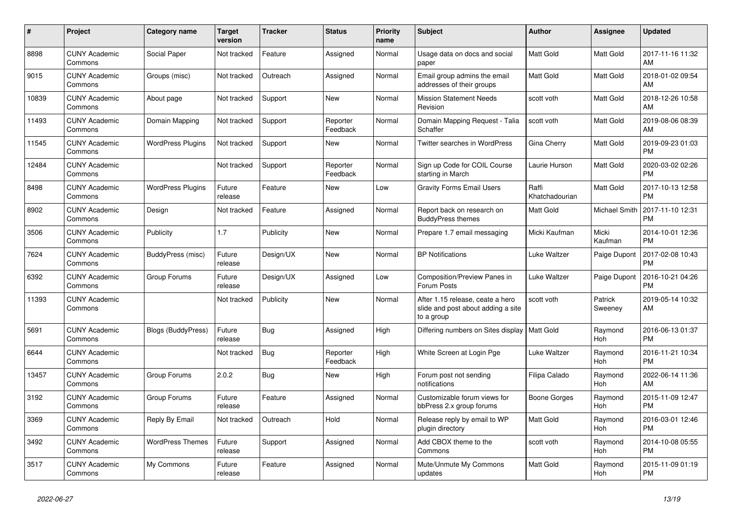| #     | <b>Project</b>                  | Category name            | <b>Target</b><br>version | <b>Tracker</b> | <b>Status</b>        | <b>Priority</b><br>name | <b>Subject</b>                                                                       | <b>Author</b>           | <b>Assignee</b>       | <b>Updated</b>                |
|-------|---------------------------------|--------------------------|--------------------------|----------------|----------------------|-------------------------|--------------------------------------------------------------------------------------|-------------------------|-----------------------|-------------------------------|
| 8898  | <b>CUNY Academic</b><br>Commons | Social Paper             | Not tracked              | Feature        | Assigned             | Normal                  | Usage data on docs and social<br>paper                                               | <b>Matt Gold</b>        | <b>Matt Gold</b>      | 2017-11-16 11:32<br>AM        |
| 9015  | <b>CUNY Academic</b><br>Commons | Groups (misc)            | Not tracked              | Outreach       | Assigned             | Normal                  | Email group admins the email<br>addresses of their groups                            | <b>Matt Gold</b>        | <b>Matt Gold</b>      | 2018-01-02 09:54<br>AM        |
| 10839 | <b>CUNY Academic</b><br>Commons | About page               | Not tracked              | Support        | New                  | Normal                  | <b>Mission Statement Needs</b><br>Revision                                           | scott voth              | Matt Gold             | 2018-12-26 10:58<br>AM        |
| 11493 | <b>CUNY Academic</b><br>Commons | Domain Mapping           | Not tracked              | Support        | Reporter<br>Feedback | Normal                  | Domain Mapping Request - Talia<br>Schaffer                                           | scott voth              | <b>Matt Gold</b>      | 2019-08-06 08:39<br>AM        |
| 11545 | <b>CUNY Academic</b><br>Commons | <b>WordPress Plugins</b> | Not tracked              | Support        | <b>New</b>           | Normal                  | <b>Twitter searches in WordPress</b>                                                 | Gina Cherry             | <b>Matt Gold</b>      | 2019-09-23 01:03<br><b>PM</b> |
| 12484 | <b>CUNY Academic</b><br>Commons |                          | Not tracked              | Support        | Reporter<br>Feedback | Normal                  | Sign up Code for COIL Course<br>starting in March                                    | Laurie Hurson           | Matt Gold             | 2020-03-02 02:26<br><b>PM</b> |
| 8498  | <b>CUNY Academic</b><br>Commons | <b>WordPress Plugins</b> | Future<br>release        | Feature        | <b>New</b>           | Low                     | <b>Gravity Forms Email Users</b>                                                     | Raffi<br>Khatchadourian | <b>Matt Gold</b>      | 2017-10-13 12:58<br><b>PM</b> |
| 8902  | <b>CUNY Academic</b><br>Commons | Design                   | Not tracked              | Feature        | Assigned             | Normal                  | Report back on research on<br><b>BuddyPress themes</b>                               | <b>Matt Gold</b>        | <b>Michael Smith</b>  | 2017-11-10 12:31<br><b>PM</b> |
| 3506  | <b>CUNY Academic</b><br>Commons | Publicity                | 1.7                      | Publicity      | <b>New</b>           | Normal                  | Prepare 1.7 email messaging                                                          | Micki Kaufman           | Micki<br>Kaufman      | 2014-10-01 12:36<br><b>PM</b> |
| 7624  | <b>CUNY Academic</b><br>Commons | BuddyPress (misc)        | Future<br>release        | Design/UX      | <b>New</b>           | Normal                  | <b>BP</b> Notifications                                                              | Luke Waltzer            | Paige Dupont          | 2017-02-08 10:43<br><b>PM</b> |
| 6392  | <b>CUNY Academic</b><br>Commons | Group Forums             | Future<br>release        | Design/UX      | Assigned             | Low                     | <b>Composition/Preview Panes in</b><br>Forum Posts                                   | Luke Waltzer            | Paige Dupont          | 2016-10-21 04:26<br><b>PM</b> |
| 11393 | <b>CUNY Academic</b><br>Commons |                          | Not tracked              | Publicity      | New                  | Normal                  | After 1.15 release, ceate a hero<br>slide and post about adding a site<br>to a group | scott voth              | Patrick<br>Sweeney    | 2019-05-14 10:32<br>AM        |
| 5691  | <b>CUNY Academic</b><br>Commons | Blogs (BuddyPress)       | Future<br>release        | <b>Bug</b>     | Assigned             | High                    | Differing numbers on Sites display                                                   | <b>Matt Gold</b>        | Raymond<br><b>Hoh</b> | 2016-06-13 01:37<br><b>PM</b> |
| 6644  | <b>CUNY Academic</b><br>Commons |                          | Not tracked              | <b>Bug</b>     | Reporter<br>Feedback | High                    | White Screen at Login Pge                                                            | Luke Waltzer            | Raymond<br>Hoh        | 2016-11-21 10:34<br><b>PM</b> |
| 13457 | <b>CUNY Academic</b><br>Commons | Group Forums             | 2.0.2                    | Bug            | <b>New</b>           | High                    | Forum post not sending<br>notifications                                              | Filipa Calado           | Raymond<br>Hoh        | 2022-06-14 11:36<br>AM        |
| 3192  | <b>CUNY Academic</b><br>Commons | Group Forums             | Future<br>release        | Feature        | Assigned             | Normal                  | Customizable forum views for<br>bbPress 2.x group forums                             | Boone Gorges            | Raymond<br><b>Hoh</b> | 2015-11-09 12:47<br><b>PM</b> |
| 3369  | <b>CUNY Academic</b><br>Commons | Reply By Email           | Not tracked              | Outreach       | Hold                 | Normal                  | Release reply by email to WP<br>plugin directory                                     | Matt Gold               | Raymond<br>Hoh        | 2016-03-01 12:46<br><b>PM</b> |
| 3492  | <b>CUNY Academic</b><br>Commons | <b>WordPress Themes</b>  | Future<br>release        | Support        | Assigned             | Normal                  | Add CBOX theme to the<br>Commons                                                     | scott voth              | Raymond<br><b>Hoh</b> | 2014-10-08 05:55<br><b>PM</b> |
| 3517  | <b>CUNY Academic</b><br>Commons | My Commons               | Future<br>release        | Feature        | Assigned             | Normal                  | Mute/Unmute My Commons<br>updates                                                    | Matt Gold               | Raymond<br>Hoh        | 2015-11-09 01:19<br><b>PM</b> |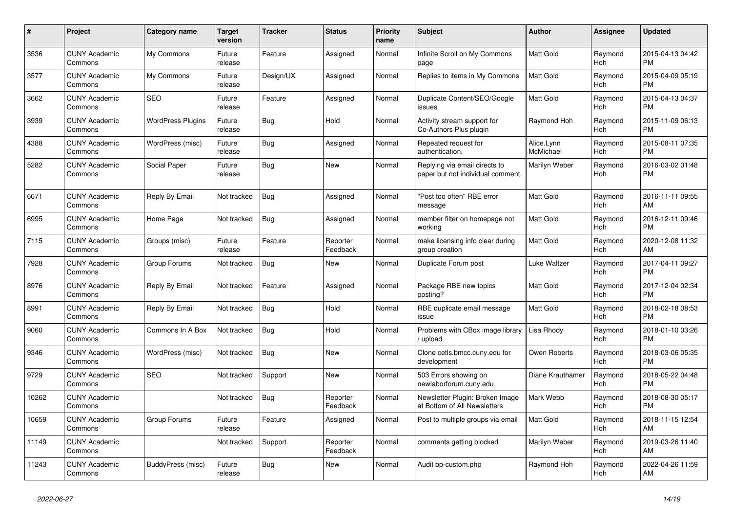| #     | <b>Project</b>                  | <b>Category name</b>     | Target<br>version | Tracker    | <b>Status</b>        | <b>Priority</b><br>name | <b>Subject</b>                                                     | <b>Author</b>           | Assignee              | <b>Updated</b>                |
|-------|---------------------------------|--------------------------|-------------------|------------|----------------------|-------------------------|--------------------------------------------------------------------|-------------------------|-----------------------|-------------------------------|
| 3536  | <b>CUNY Academic</b><br>Commons | My Commons               | Future<br>release | Feature    | Assigned             | Normal                  | Infinite Scroll on My Commons<br>page                              | <b>Matt Gold</b>        | Raymond<br><b>Hoh</b> | 2015-04-13 04:42<br><b>PM</b> |
| 3577  | <b>CUNY Academic</b><br>Commons | My Commons               | Future<br>release | Design/UX  | Assigned             | Normal                  | Replies to items in My Commons                                     | <b>Matt Gold</b>        | Raymond<br>Hoh        | 2015-04-09 05:19<br><b>PM</b> |
| 3662  | <b>CUNY Academic</b><br>Commons | <b>SEO</b>               | Future<br>release | Feature    | Assigned             | Normal                  | Duplicate Content/SEO/Google<br>issues                             | Matt Gold               | Raymond<br>Hoh        | 2015-04-13 04:37<br><b>PM</b> |
| 3939  | <b>CUNY Academic</b><br>Commons | <b>WordPress Plugins</b> | Future<br>release | <b>Bug</b> | Hold                 | Normal                  | Activity stream support for<br>Co-Authors Plus plugin              | Raymond Hoh             | Raymond<br>Hoh        | 2015-11-09 06:13<br><b>PM</b> |
| 4388  | <b>CUNY Academic</b><br>Commons | WordPress (misc)         | Future<br>release | Bug        | Assigned             | Normal                  | Repeated request for<br>authentication.                            | Alice.Lynn<br>McMichael | Raymond<br>Hoh        | 2015-08-11 07:35<br><b>PM</b> |
| 5282  | <b>CUNY Academic</b><br>Commons | Social Paper             | Future<br>release | Bug        | <b>New</b>           | Normal                  | Replying via email directs to<br>paper but not individual comment. | Marilyn Weber           | Raymond<br><b>Hoh</b> | 2016-03-02 01:48<br><b>PM</b> |
| 6671  | <b>CUNY Academic</b><br>Commons | Reply By Email           | Not tracked       | Bug        | Assigned             | Normal                  | "Post too often" RBE error<br>message                              | <b>Matt Gold</b>        | Raymond<br>Hoh        | 2016-11-11 09:55<br>AM        |
| 6995  | <b>CUNY Academic</b><br>Commons | Home Page                | Not tracked       | <b>Bug</b> | Assigned             | Normal                  | member filter on homepage not<br>working                           | <b>Matt Gold</b>        | Raymond<br><b>Hoh</b> | 2016-12-11 09:46<br><b>PM</b> |
| 7115  | <b>CUNY Academic</b><br>Commons | Groups (misc)            | Future<br>release | Feature    | Reporter<br>Feedback | Normal                  | make licensing info clear during<br>group creation                 | <b>Matt Gold</b>        | Raymond<br>Hoh        | 2020-12-08 11:32<br>AM        |
| 7928  | <b>CUNY Academic</b><br>Commons | Group Forums             | Not tracked       | <b>Bug</b> | New                  | Normal                  | Duplicate Forum post                                               | Luke Waltzer            | Raymond<br>Hoh        | 2017-04-11 09:27<br><b>PM</b> |
| 8976  | <b>CUNY Academic</b><br>Commons | Reply By Email           | Not tracked       | Feature    | Assigned             | Normal                  | Package RBE new topics<br>posting?                                 | Matt Gold               | Raymond<br><b>Hoh</b> | 2017-12-04 02:34<br><b>PM</b> |
| 8991  | <b>CUNY Academic</b><br>Commons | Reply By Email           | Not tracked       | Bug        | Hold                 | Normal                  | RBE duplicate email message<br>issue                               | Matt Gold               | Raymond<br><b>Hoh</b> | 2018-02-18 08:53<br><b>PM</b> |
| 9060  | <b>CUNY Academic</b><br>Commons | Commons In A Box         | Not tracked       | <b>Bug</b> | Hold                 | Normal                  | Problems with CBox image library<br>upload                         | Lisa Rhody              | Raymond<br>Hoh        | 2018-01-10 03:26<br><b>PM</b> |
| 9346  | <b>CUNY Academic</b><br>Commons | WordPress (misc)         | Not tracked       | <b>Bug</b> | <b>New</b>           | Normal                  | Clone cetls.bmcc.cuny.edu for<br>development                       | Owen Roberts            | Raymond<br>Hoh        | 2018-03-06 05:35<br><b>PM</b> |
| 9729  | <b>CUNY Academic</b><br>Commons | SEO                      | Not tracked       | Support    | New                  | Normal                  | 503 Errors showing on<br>newlaborforum.cuny.edu                    | Diane Krauthamer        | Raymond<br>Hoh        | 2018-05-22 04:48<br><b>PM</b> |
| 10262 | <b>CUNY Academic</b><br>Commons |                          | Not tracked       | <b>Bug</b> | Reporter<br>Feedback | Normal                  | Newsletter Plugin: Broken Image<br>at Bottom of All Newsletters    | Mark Webb               | Raymond<br>Hoh        | 2018-08-30 05:17<br><b>PM</b> |
| 10659 | <b>CUNY Academic</b><br>Commons | Group Forums             | Future<br>release | Feature    | Assigned             | Normal                  | Post to multiple groups via email                                  | Matt Gold               | Raymond<br><b>Hoh</b> | 2018-11-15 12:54<br>AM        |
| 11149 | <b>CUNY Academic</b><br>Commons |                          | Not tracked       | Support    | Reporter<br>Feedback | Normal                  | comments getting blocked                                           | Marilyn Weber           | Raymond<br>Hoh        | 2019-03-26 11:40<br>AM        |
| 11243 | <b>CUNY Academic</b><br>Commons | BuddyPress (misc)        | Future<br>release | Bug        | <b>New</b>           | Normal                  | Audit bp-custom.php                                                | Raymond Hoh             | Raymond<br>Hoh        | 2022-04-26 11:59<br>AM        |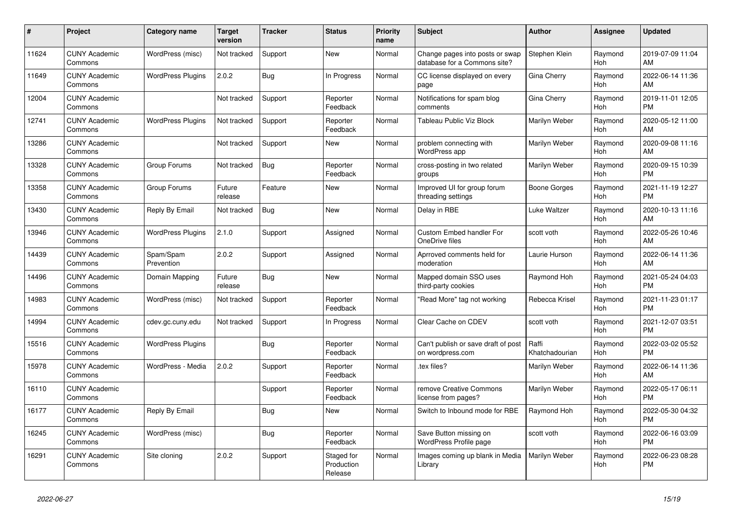| #     | Project                         | <b>Category name</b>     | <b>Target</b><br>version | <b>Tracker</b> | <b>Status</b>                       | <b>Priority</b><br>name | <b>Subject</b>                                                  | <b>Author</b>           | <b>Assignee</b>       | <b>Updated</b>                |
|-------|---------------------------------|--------------------------|--------------------------|----------------|-------------------------------------|-------------------------|-----------------------------------------------------------------|-------------------------|-----------------------|-------------------------------|
| 11624 | <b>CUNY Academic</b><br>Commons | WordPress (misc)         | Not tracked              | Support        | <b>New</b>                          | Normal                  | Change pages into posts or swap<br>database for a Commons site? | Stephen Klein           | Raymond<br>Hoh        | 2019-07-09 11:04<br>AM        |
| 11649 | <b>CUNY Academic</b><br>Commons | <b>WordPress Plugins</b> | 2.0.2                    | <b>Bug</b>     | In Progress                         | Normal                  | CC license displayed on every<br>page                           | Gina Cherry             | Raymond<br><b>Hoh</b> | 2022-06-14 11:36<br>AM        |
| 12004 | <b>CUNY Academic</b><br>Commons |                          | Not tracked              | Support        | Reporter<br>Feedback                | Normal                  | Notifications for spam blog<br>comments                         | Gina Cherry             | Raymond<br><b>Hoh</b> | 2019-11-01 12:05<br><b>PM</b> |
| 12741 | <b>CUNY Academic</b><br>Commons | <b>WordPress Plugins</b> | Not tracked              | Support        | Reporter<br>Feedback                | Normal                  | Tableau Public Viz Block                                        | Marilyn Weber           | Raymond<br>Hoh        | 2020-05-12 11:00<br>AM        |
| 13286 | <b>CUNY Academic</b><br>Commons |                          | Not tracked              | Support        | New                                 | Normal                  | problem connecting with<br>WordPress app                        | Marilyn Weber           | Raymond<br><b>Hoh</b> | 2020-09-08 11:16<br>AM        |
| 13328 | <b>CUNY Academic</b><br>Commons | Group Forums             | Not tracked              | Bug            | Reporter<br>Feedback                | Normal                  | cross-posting in two related<br>groups                          | Marilyn Weber           | Raymond<br><b>Hoh</b> | 2020-09-15 10:39<br><b>PM</b> |
| 13358 | <b>CUNY Academic</b><br>Commons | Group Forums             | Future<br>release        | Feature        | <b>New</b>                          | Normal                  | Improved UI for group forum<br>threading settings               | <b>Boone Gorges</b>     | Raymond<br><b>Hoh</b> | 2021-11-19 12:27<br><b>PM</b> |
| 13430 | <b>CUNY Academic</b><br>Commons | Reply By Email           | Not tracked              | Bug            | <b>New</b>                          | Normal                  | Delay in RBE                                                    | Luke Waltzer            | Raymond<br><b>Hoh</b> | 2020-10-13 11:16<br>AM        |
| 13946 | <b>CUNY Academic</b><br>Commons | <b>WordPress Plugins</b> | 2.1.0                    | Support        | Assigned                            | Normal                  | <b>Custom Embed handler For</b><br>OneDrive files               | scott voth              | Raymond<br><b>Hoh</b> | 2022-05-26 10:46<br>AM        |
| 14439 | <b>CUNY Academic</b><br>Commons | Spam/Spam<br>Prevention  | 2.0.2                    | Support        | Assigned                            | Normal                  | Aprroved comments held for<br>moderation                        | Laurie Hurson           | Raymond<br><b>Hoh</b> | 2022-06-14 11:36<br>AM        |
| 14496 | <b>CUNY Academic</b><br>Commons | Domain Mapping           | Future<br>release        | Bug            | <b>New</b>                          | Normal                  | Mapped domain SSO uses<br>third-party cookies                   | Raymond Hoh             | Raymond<br>Hoh        | 2021-05-24 04:03<br><b>PM</b> |
| 14983 | <b>CUNY Academic</b><br>Commons | WordPress (misc)         | Not tracked              | Support        | Reporter<br>Feedback                | Normal                  | "Read More" tag not working                                     | Rebecca Krisel          | Raymond<br><b>Hoh</b> | 2021-11-23 01:17<br><b>PM</b> |
| 14994 | <b>CUNY Academic</b><br>Commons | cdev.gc.cuny.edu         | Not tracked              | Support        | In Progress                         | Normal                  | Clear Cache on CDEV                                             | scott voth              | Raymond<br><b>Hoh</b> | 2021-12-07 03:51<br><b>PM</b> |
| 15516 | <b>CUNY Academic</b><br>Commons | <b>WordPress Plugins</b> |                          | Bug            | Reporter<br>Feedback                | Normal                  | Can't publish or save draft of post<br>on wordpress.com         | Raffi<br>Khatchadourian | Raymond<br>Hoh        | 2022-03-02 05:52<br><b>PM</b> |
| 15978 | <b>CUNY Academic</b><br>Commons | WordPress - Media        | 2.0.2                    | Support        | Reporter<br>Feedback                | Normal                  | .tex files?                                                     | Marilyn Weber           | Raymond<br><b>Hoh</b> | 2022-06-14 11:36<br>AM        |
| 16110 | <b>CUNY Academic</b><br>Commons |                          |                          | Support        | Reporter<br>Feedback                | Normal                  | remove Creative Commons<br>license from pages?                  | Marilyn Weber           | Raymond<br><b>Hoh</b> | 2022-05-17 06:11<br><b>PM</b> |
| 16177 | <b>CUNY Academic</b><br>Commons | Reply By Email           |                          | <b>Bug</b>     | <b>New</b>                          | Normal                  | Switch to Inbound mode for RBE                                  | Raymond Hoh             | Raymond<br>Hoh        | 2022-05-30 04:32<br><b>PM</b> |
| 16245 | <b>CUNY Academic</b><br>Commons | WordPress (misc)         |                          | <b>Bug</b>     | Reporter<br>Feedback                | Normal                  | Save Button missing on<br><b>WordPress Profile page</b>         | scott voth              | Raymond<br><b>Hoh</b> | 2022-06-16 03:09<br><b>PM</b> |
| 16291 | <b>CUNY Academic</b><br>Commons | Site cloning             | 2.0.2                    | Support        | Staged for<br>Production<br>Release | Normal                  | Images coming up blank in Media<br>Library                      | Marilyn Weber           | Raymond<br><b>Hoh</b> | 2022-06-23 08:28<br><b>PM</b> |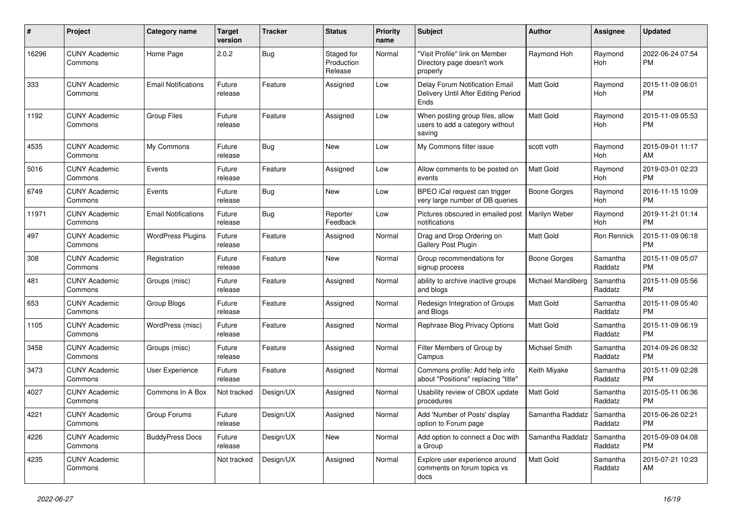| #     | Project                         | <b>Category name</b>       | <b>Target</b><br>version | <b>Tracker</b> | <b>Status</b>                       | <b>Priority</b><br>name | <b>Subject</b>                                                                | <b>Author</b>       | <b>Assignee</b>     | <b>Updated</b>                |
|-------|---------------------------------|----------------------------|--------------------------|----------------|-------------------------------------|-------------------------|-------------------------------------------------------------------------------|---------------------|---------------------|-------------------------------|
| 16296 | <b>CUNY Academic</b><br>Commons | Home Page                  | 2.0.2                    | Bug            | Staged for<br>Production<br>Release | Normal                  | "Visit Profile" link on Member<br>Directory page doesn't work<br>properly     | Raymond Hoh         | Raymond<br>Hoh      | 2022-06-24 07:54<br><b>PM</b> |
| 333   | <b>CUNY Academic</b><br>Commons | <b>Email Notifications</b> | Future<br>release        | Feature        | Assigned                            | Low                     | Delay Forum Notification Email<br>Delivery Until After Editing Period<br>Ends | Matt Gold           | Raymond<br>Hoh      | 2015-11-09 06:01<br><b>PM</b> |
| 1192  | <b>CUNY Academic</b><br>Commons | <b>Group Files</b>         | Future<br>release        | Feature        | Assigned                            | Low                     | When posting group files, allow<br>users to add a category without<br>saving  | Matt Gold           | Raymond<br>Hoh      | 2015-11-09 05:53<br><b>PM</b> |
| 4535  | <b>CUNY Academic</b><br>Commons | My Commons                 | Future<br>release        | Bug            | New                                 | Low                     | My Commons filter issue                                                       | scott voth          | Raymond<br>Hoh      | 2015-09-01 11:17<br>AM        |
| 5016  | <b>CUNY Academic</b><br>Commons | Events                     | Future<br>release        | Feature        | Assigned                            | Low                     | Allow comments to be posted on<br>events                                      | <b>Matt Gold</b>    | Raymond<br>Hoh      | 2019-03-01 02:23<br><b>PM</b> |
| 6749  | <b>CUNY Academic</b><br>Commons | Events                     | Future<br>release        | Bug            | New                                 | Low                     | BPEO iCal request can trigger<br>very large number of DB queries              | <b>Boone Gorges</b> | Raymond<br>Hoh      | 2016-11-15 10:09<br><b>PM</b> |
| 11971 | <b>CUNY Academic</b><br>Commons | <b>Email Notifications</b> | Future<br>release        | Bug            | Reporter<br>Feedback                | Low                     | Pictures obscured in emailed post<br>notifications                            | Marilyn Weber       | Raymond<br>Hoh      | 2019-11-21 01:14<br><b>PM</b> |
| 497   | <b>CUNY Academic</b><br>Commons | <b>WordPress Plugins</b>   | Future<br>release        | Feature        | Assigned                            | Normal                  | Drag and Drop Ordering on<br><b>Gallery Post Plugin</b>                       | Matt Gold           | Ron Rennick         | 2015-11-09 06:18<br><b>PM</b> |
| 308   | <b>CUNY Academic</b><br>Commons | Registration               | Future<br>release        | Feature        | New                                 | Normal                  | Group recommendations for<br>signup process                                   | Boone Gorges        | Samantha<br>Raddatz | 2015-11-09 05:07<br><b>PM</b> |
| 481   | <b>CUNY Academic</b><br>Commons | Groups (misc)              | Future<br>release        | Feature        | Assigned                            | Normal                  | ability to archive inactive groups<br>and blogs                               | Michael Mandiberg   | Samantha<br>Raddatz | 2015-11-09 05:56<br><b>PM</b> |
| 653   | <b>CUNY Academic</b><br>Commons | Group Blogs                | Future<br>release        | Feature        | Assigned                            | Normal                  | Redesign Integration of Groups<br>and Blogs                                   | Matt Gold           | Samantha<br>Raddatz | 2015-11-09 05:40<br><b>PM</b> |
| 1105  | <b>CUNY Academic</b><br>Commons | WordPress (misc)           | Future<br>release        | Feature        | Assigned                            | Normal                  | Rephrase Blog Privacy Options                                                 | <b>Matt Gold</b>    | Samantha<br>Raddatz | 2015-11-09 06:19<br><b>PM</b> |
| 3458  | <b>CUNY Academic</b><br>Commons | Groups (misc)              | Future<br>release        | Feature        | Assigned                            | Normal                  | Filter Members of Group by<br>Campus                                          | Michael Smith       | Samantha<br>Raddatz | 2014-09-26 08:32<br><b>PM</b> |
| 3473  | <b>CUNY Academic</b><br>Commons | User Experience            | Future<br>release        | Feature        | Assigned                            | Normal                  | Commons profile: Add help info<br>about "Positions" replacing "title"         | Keith Miyake        | Samantha<br>Raddatz | 2015-11-09 02:28<br><b>PM</b> |
| 4027  | <b>CUNY Academic</b><br>Commons | Commons In A Box           | Not tracked              | Design/UX      | Assigned                            | Normal                  | Usability review of CBOX update<br>procedures                                 | <b>Matt Gold</b>    | Samantha<br>Raddatz | 2015-05-11 06:36<br><b>PM</b> |
| 4221  | <b>CUNY Academic</b><br>Commons | Group Forums               | Future<br>release        | Design/UX      | Assigned                            | Normal                  | Add 'Number of Posts' display<br>option to Forum page                         | Samantha Raddatz    | Samantha<br>Raddatz | 2015-06-26 02:21<br><b>PM</b> |
| 4226  | <b>CUNY Academic</b><br>Commons | <b>BuddyPress Docs</b>     | Future<br>release        | Design/UX      | New                                 | Normal                  | Add option to connect a Doc with<br>a Group                                   | Samantha Raddatz    | Samantha<br>Raddatz | 2015-09-09 04:08<br><b>PM</b> |
| 4235  | <b>CUNY Academic</b><br>Commons |                            | Not tracked              | Design/UX      | Assigned                            | Normal                  | Explore user experience around<br>comments on forum topics vs<br>docs         | Matt Gold           | Samantha<br>Raddatz | 2015-07-21 10:23<br>AM        |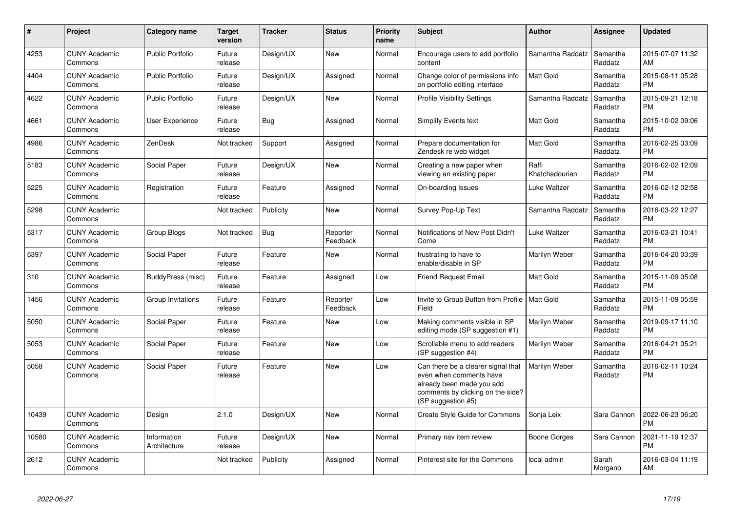| $\#$  | Project                         | Category name               | <b>Target</b><br>version | <b>Tracker</b> | <b>Status</b>        | <b>Priority</b><br>name | <b>Subject</b>                                                                                                                                        | Author                  | Assignee            | <b>Updated</b>                |
|-------|---------------------------------|-----------------------------|--------------------------|----------------|----------------------|-------------------------|-------------------------------------------------------------------------------------------------------------------------------------------------------|-------------------------|---------------------|-------------------------------|
| 4253  | <b>CUNY Academic</b><br>Commons | <b>Public Portfolio</b>     | Future<br>release        | Design/UX      | <b>New</b>           | Normal                  | Encourage users to add portfolio<br>content                                                                                                           | Samantha Raddatz        | Samantha<br>Raddatz | 2015-07-07 11:32<br>AM        |
| 4404  | <b>CUNY Academic</b><br>Commons | <b>Public Portfolio</b>     | Future<br>release        | Design/UX      | Assigned             | Normal                  | Change color of permissions info<br>on portfolio editing interface                                                                                    | <b>Matt Gold</b>        | Samantha<br>Raddatz | 2015-08-11 05:28<br><b>PM</b> |
| 4622  | <b>CUNY Academic</b><br>Commons | <b>Public Portfolio</b>     | Future<br>release        | Design/UX      | <b>New</b>           | Normal                  | <b>Profile Visibility Settings</b>                                                                                                                    | Samantha Raddatz        | Samantha<br>Raddatz | 2015-09-21 12:18<br><b>PM</b> |
| 4661  | <b>CUNY Academic</b><br>Commons | User Experience             | Future<br>release        | <b>Bug</b>     | Assigned             | Normal                  | Simplify Events text                                                                                                                                  | <b>Matt Gold</b>        | Samantha<br>Raddatz | 2015-10-02 09:06<br><b>PM</b> |
| 4986  | <b>CUNY Academic</b><br>Commons | ZenDesk                     | Not tracked              | Support        | Assigned             | Normal                  | Prepare documentation for<br>Zendesk re web widget                                                                                                    | <b>Matt Gold</b>        | Samantha<br>Raddatz | 2016-02-25 03:09<br><b>PM</b> |
| 5183  | <b>CUNY Academic</b><br>Commons | Social Paper                | Future<br>release        | Design/UX      | <b>New</b>           | Normal                  | Creating a new paper when<br>viewing an existing paper                                                                                                | Raffi<br>Khatchadourian | Samantha<br>Raddatz | 2016-02-02 12:09<br><b>PM</b> |
| 5225  | <b>CUNY Academic</b><br>Commons | Registration                | Future<br>release        | Feature        | Assigned             | Normal                  | On-boarding Issues                                                                                                                                    | Luke Waltzer            | Samantha<br>Raddatz | 2016-02-12 02:58<br><b>PM</b> |
| 5298  | <b>CUNY Academic</b><br>Commons |                             | Not tracked              | Publicity      | <b>New</b>           | Normal                  | Survey Pop-Up Text                                                                                                                                    | Samantha Raddatz        | Samantha<br>Raddatz | 2016-03-22 12:27<br><b>PM</b> |
| 5317  | <b>CUNY Academic</b><br>Commons | Group Blogs                 | Not tracked              | Bug            | Reporter<br>Feedback | Normal                  | Notifications of New Post Didn't<br>Come                                                                                                              | Luke Waltzer            | Samantha<br>Raddatz | 2016-03-21 10:41<br><b>PM</b> |
| 5397  | <b>CUNY Academic</b><br>Commons | Social Paper                | Future<br>release        | Feature        | <b>New</b>           | Normal                  | frustrating to have to<br>enable/disable in SP                                                                                                        | Marilyn Weber           | Samantha<br>Raddatz | 2016-04-20 03:39<br><b>PM</b> |
| 310   | <b>CUNY Academic</b><br>Commons | BuddyPress (misc)           | Future<br>release        | Feature        | Assigned             | Low                     | <b>Friend Request Email</b>                                                                                                                           | <b>Matt Gold</b>        | Samantha<br>Raddatz | 2015-11-09 05:08<br><b>PM</b> |
| 1456  | <b>CUNY Academic</b><br>Commons | Group Invitations           | Future<br>release        | Feature        | Reporter<br>Feedback | Low                     | Invite to Group Button from Profile   Matt Gold<br>Field                                                                                              |                         | Samantha<br>Raddatz | 2015-11-09 05:59<br><b>PM</b> |
| 5050  | <b>CUNY Academic</b><br>Commons | Social Paper                | Future<br>release        | Feature        | <b>New</b>           | Low                     | Making comments visible in SP<br>editing mode (SP suggestion #1)                                                                                      | Marilyn Weber           | Samantha<br>Raddatz | 2019-09-17 11:10<br><b>PM</b> |
| 5053  | <b>CUNY Academic</b><br>Commons | Social Paper                | Future<br>release        | Feature        | <b>New</b>           | Low                     | Scrollable menu to add readers<br>(SP suggestion #4)                                                                                                  | Marilyn Weber           | Samantha<br>Raddatz | 2016-04-21 05:21<br><b>PM</b> |
| 5058  | <b>CUNY Academic</b><br>Commons | Social Paper                | Future<br>release        | Feature        | <b>New</b>           | Low                     | Can there be a clearer signal that<br>even when comments have<br>already been made you add<br>comments by clicking on the side?<br>(SP suggestion #5) | Marilyn Weber           | Samantha<br>Raddatz | 2016-02-11 10:24<br><b>PM</b> |
| 10439 | <b>CUNY Academic</b><br>Commons | Design                      | 2.1.0                    | Design/UX      | <b>New</b>           | Normal                  | Create Style Guide for Commons                                                                                                                        | Sonja Leix              | Sara Cannon         | 2022-06-23 06:20<br><b>PM</b> |
| 10580 | <b>CUNY Academic</b><br>Commons | Information<br>Architecture | Future<br>release        | Design/UX      | <b>New</b>           | Normal                  | Primary nav item review                                                                                                                               | Boone Gorges            | Sara Cannon         | 2021-11-19 12:37<br><b>PM</b> |
| 2612  | <b>CUNY Academic</b><br>Commons |                             | Not tracked              | Publicity      | Assigned             | Normal                  | Pinterest site for the Commons                                                                                                                        | local admin             | Sarah<br>Morgano    | 2016-03-04 11:19<br>AM        |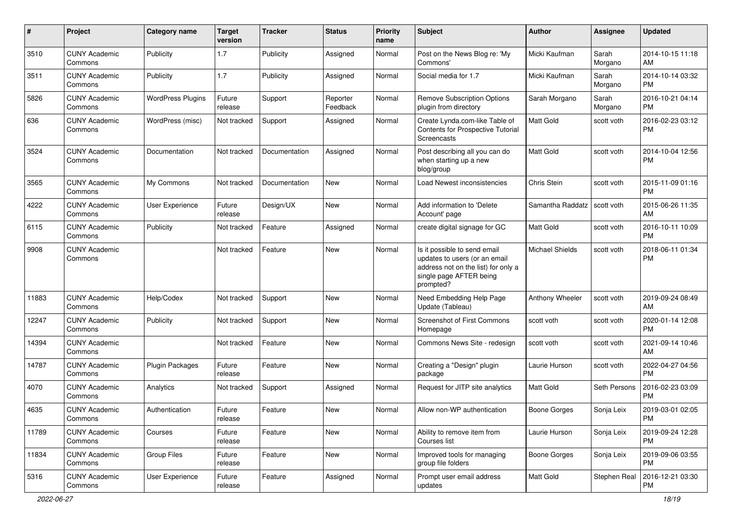| #     | Project                         | <b>Category name</b>     | <b>Target</b><br>version | Tracker       | <b>Status</b>        | <b>Priority</b><br>name | <b>Subject</b>                                                                                                                               | Author                 | <b>Assignee</b>  | <b>Updated</b>                |
|-------|---------------------------------|--------------------------|--------------------------|---------------|----------------------|-------------------------|----------------------------------------------------------------------------------------------------------------------------------------------|------------------------|------------------|-------------------------------|
| 3510  | <b>CUNY Academic</b><br>Commons | Publicity                | 1.7                      | Publicity     | Assigned             | Normal                  | Post on the News Blog re: 'My<br>Commons'                                                                                                    | Micki Kaufman          | Sarah<br>Morgano | 2014-10-15 11:18<br>AM        |
| 3511  | <b>CUNY Academic</b><br>Commons | Publicity                | 1.7                      | Publicity     | Assigned             | Normal                  | Social media for 1.7                                                                                                                         | Micki Kaufman          | Sarah<br>Morgano | 2014-10-14 03:32<br>РM        |
| 5826  | <b>CUNY Academic</b><br>Commons | <b>WordPress Plugins</b> | Future<br>release        | Support       | Reporter<br>Feedback | Normal                  | <b>Remove Subscription Options</b><br>plugin from directory                                                                                  | Sarah Morgano          | Sarah<br>Morgano | 2016-10-21 04:14<br><b>PM</b> |
| 636   | <b>CUNY Academic</b><br>Commons | WordPress (misc)         | Not tracked              | Support       | Assigned             | Normal                  | Create Lynda.com-like Table of<br>Contents for Prospective Tutorial<br>Screencasts                                                           | Matt Gold              | scott voth       | 2016-02-23 03:12<br><b>PM</b> |
| 3524  | <b>CUNY Academic</b><br>Commons | Documentation            | Not tracked              | Documentation | Assigned             | Normal                  | Post describing all you can do<br>when starting up a new<br>blog/group                                                                       | Matt Gold              | scott voth       | 2014-10-04 12:56<br><b>PM</b> |
| 3565  | <b>CUNY Academic</b><br>Commons | My Commons               | Not tracked              | Documentation | New                  | Normal                  | Load Newest inconsistencies                                                                                                                  | Chris Stein            | scott voth       | 2015-11-09 01:16<br><b>PM</b> |
| 4222  | <b>CUNY Academic</b><br>Commons | <b>User Experience</b>   | Future<br>release        | Design/UX     | New                  | Normal                  | Add information to 'Delete<br>Account' page                                                                                                  | Samantha Raddatz       | scott voth       | 2015-06-26 11:35<br>AM        |
| 6115  | <b>CUNY Academic</b><br>Commons | Publicity                | Not tracked              | Feature       | Assigned             | Normal                  | create digital signage for GC                                                                                                                | Matt Gold              | scott voth       | 2016-10-11 10:09<br><b>PM</b> |
| 9908  | <b>CUNY Academic</b><br>Commons |                          | Not tracked              | Feature       | New                  | Normal                  | Is it possible to send email<br>updates to users (or an email<br>address not on the list) for only a<br>single page AFTER being<br>prompted? | <b>Michael Shields</b> | scott voth       | 2018-06-11 01:34<br><b>PM</b> |
| 11883 | <b>CUNY Academic</b><br>Commons | Help/Codex               | Not tracked              | Support       | New                  | Normal                  | Need Embedding Help Page<br>Update (Tableau)                                                                                                 | Anthony Wheeler        | scott voth       | 2019-09-24 08:49<br>AM        |
| 12247 | <b>CUNY Academic</b><br>Commons | Publicity                | Not tracked              | Support       | New                  | Normal                  | Screenshot of First Commons<br>Homepage                                                                                                      | scott voth             | scott voth       | 2020-01-14 12:08<br><b>PM</b> |
| 14394 | <b>CUNY Academic</b><br>Commons |                          | Not tracked              | Feature       | New                  | Normal                  | Commons News Site - redesign                                                                                                                 | scott voth             | scott voth       | 2021-09-14 10:46<br>AM        |
| 14787 | <b>CUNY Academic</b><br>Commons | <b>Plugin Packages</b>   | Future<br>release        | Feature       | New                  | Normal                  | Creating a "Design" plugin<br>package                                                                                                        | Laurie Hurson          | scott voth       | 2022-04-27 04:56<br>PM        |
| 4070  | <b>CUNY Academic</b><br>Commons | Analytics                | Not tracked              | Support       | Assigned             | Normal                  | Request for JITP site analytics                                                                                                              | <b>Matt Gold</b>       | Seth Persons     | 2016-02-23 03:09<br>РM        |
| 4635  | <b>CUNY Academic</b><br>Commons | Authentication           | Future<br>release        | Feature       | New                  | Normal                  | Allow non-WP authentication                                                                                                                  | <b>Boone Gorges</b>    | Sonja Leix       | 2019-03-01 02:05<br>PM        |
| 11789 | <b>CUNY Academic</b><br>Commons | Courses                  | Future<br>release        | Feature       | New                  | Normal                  | Ability to remove item from<br>Courses list                                                                                                  | Laurie Hurson          | Sonja Leix       | 2019-09-24 12:28<br>PM        |
| 11834 | <b>CUNY Academic</b><br>Commons | <b>Group Files</b>       | Future<br>release        | Feature       | New                  | Normal                  | Improved tools for managing<br>group file folders                                                                                            | <b>Boone Gorges</b>    | Sonja Leix       | 2019-09-06 03:55<br><b>PM</b> |
| 5316  | <b>CUNY Academic</b><br>Commons | User Experience          | Future<br>release        | Feature       | Assigned             | Normal                  | Prompt user email address<br>updates                                                                                                         | Matt Gold              | Stephen Real     | 2016-12-21 03:30<br>PM        |